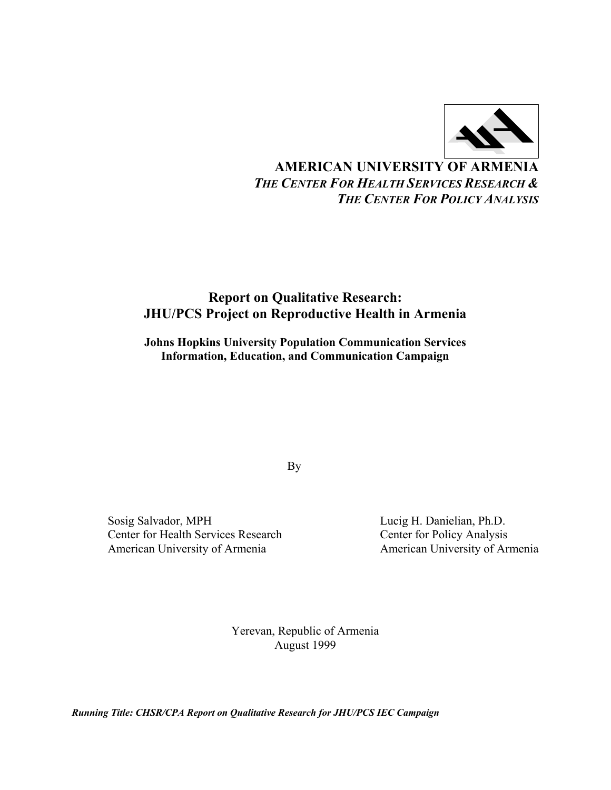

# **AMERICAN UNIVERSITY OF ARMENIA** *THE CENTER FOR HEALTH SERVICES RESEARCH & THE CENTER FOR POLICY ANALYSIS*

## **Report on Qualitative Research: JHU/PCS Project on Reproductive Health in Armenia**

**Johns Hopkins University Population Communication Services Information, Education, and Communication Campaign** 

By

Sosig Salvador, MPH Lucig H. Danielian, Ph.D.<br>Center for Health Services Research Center for Policy Analysis Center for Health Services Research American University of Armenia **American University of Armenia** 

Yerevan, Republic of Armenia August 1999

*Running Title: CHSR/CPA Report on Qualitative Research for JHU/PCS IEC Campaign*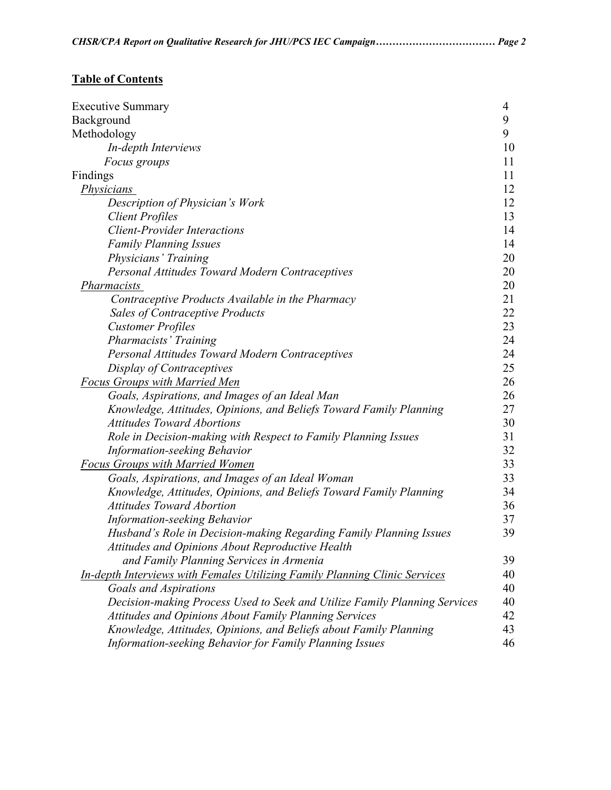|  | CHSR/CPA Report on Qualitative Research for JHU/PCS IEC Campaign Page 2 |  |
|--|-------------------------------------------------------------------------|--|
|  |                                                                         |  |

# **Table of Contents**

| Executive Summary                                                                 | 4  |
|-----------------------------------------------------------------------------------|----|
| Background                                                                        | 9  |
| Methodology                                                                       | 9  |
| In-depth Interviews                                                               | 10 |
| <i>Focus groups</i>                                                               | 11 |
| Findings                                                                          | 11 |
| <i>Physicians</i>                                                                 | 12 |
| Description of Physician's Work                                                   | 12 |
| <b>Client Profiles</b>                                                            | 13 |
| <b>Client-Provider Interactions</b>                                               | 14 |
| <b>Family Planning Issues</b>                                                     | 14 |
| Physicians' Training                                                              | 20 |
| Personal Attitudes Toward Modern Contraceptives                                   | 20 |
| Pharmacists                                                                       | 20 |
| Contraceptive Products Available in the Pharmacy                                  | 21 |
| <b>Sales of Contraceptive Products</b>                                            | 22 |
| <b>Customer Profiles</b>                                                          | 23 |
| Pharmacists' Training                                                             | 24 |
| Personal Attitudes Toward Modern Contraceptives                                   | 24 |
| Display of Contraceptives                                                         | 25 |
| <b>Focus Groups with Married Men</b>                                              | 26 |
| Goals, Aspirations, and Images of an Ideal Man                                    | 26 |
| Knowledge, Attitudes, Opinions, and Beliefs Toward Family Planning                | 27 |
| <b>Attitudes Toward Abortions</b>                                                 | 30 |
| Role in Decision-making with Respect to Family Planning Issues                    | 31 |
| <b>Information-seeking Behavior</b>                                               | 32 |
| <b>Focus Groups with Married Women</b>                                            | 33 |
| Goals, Aspirations, and Images of an Ideal Woman                                  | 33 |
| Knowledge, Attitudes, Opinions, and Beliefs Toward Family Planning                | 34 |
| <b>Attitudes Toward Abortion</b>                                                  | 36 |
| <b>Information-seeking Behavior</b>                                               | 37 |
| Husband's Role in Decision-making Regarding Family Planning Issues                | 39 |
| Attitudes and Opinions About Reproductive Health                                  |    |
| and Family Planning Services in Armenia                                           | 39 |
| <b>In-depth Interviews with Females Utilizing Family Planning Clinic Services</b> | 40 |
| Goals and Aspirations                                                             | 40 |
| Decision-making Process Used to Seek and Utilize Family Planning Services         | 40 |
| <b>Attitudes and Opinions About Family Planning Services</b>                      | 42 |
| Knowledge, Attitudes, Opinions, and Beliefs about Family Planning                 | 43 |
| Information-seeking Behavior for Family Planning Issues                           | 46 |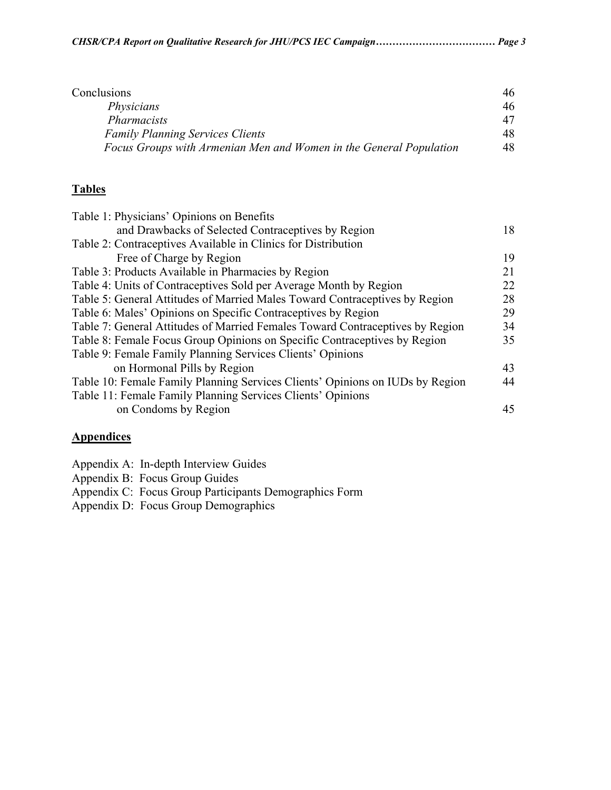|  |  | CHSR/CPA Report on Qualitative Research for JHU/PCS IEC Campaign Page 3 |
|--|--|-------------------------------------------------------------------------|
|  |  |                                                                         |

| Conclusions                                                        | 46. |
|--------------------------------------------------------------------|-----|
| Physicians                                                         | 46. |
| <b>Pharmacists</b>                                                 |     |
| <b>Family Planning Services Clients</b>                            | 48  |
| Focus Groups with Armenian Men and Women in the General Population | 48  |

## **Tables**

| Table 1: Physicians' Opinions on Benefits                                     |    |
|-------------------------------------------------------------------------------|----|
| and Drawbacks of Selected Contraceptives by Region                            | 18 |
| Table 2: Contraceptives Available in Clinics for Distribution                 |    |
| Free of Charge by Region                                                      | 19 |
| Table 3: Products Available in Pharmacies by Region                           | 21 |
| Table 4: Units of Contraceptives Sold per Average Month by Region             | 22 |
| Table 5: General Attitudes of Married Males Toward Contraceptives by Region   | 28 |
| Table 6: Males' Opinions on Specific Contraceptives by Region                 | 29 |
| Table 7: General Attitudes of Married Females Toward Contraceptives by Region | 34 |
| Table 8: Female Focus Group Opinions on Specific Contraceptives by Region     | 35 |
| Table 9: Female Family Planning Services Clients' Opinions                    |    |
| on Hormonal Pills by Region                                                   | 43 |
| Table 10: Female Family Planning Services Clients' Opinions on IUDs by Region | 44 |
| Table 11: Female Family Planning Services Clients' Opinions                   |    |
| on Condoms by Region                                                          | 45 |
|                                                                               |    |

## **Appendices**

|  | Appendix A: In-depth Interview Guides |  |  |  |
|--|---------------------------------------|--|--|--|
|--|---------------------------------------|--|--|--|

Appendix B: Focus Group Guides

Appendix C: Focus Group Participants Demographics Form

Appendix D: Focus Group Demographics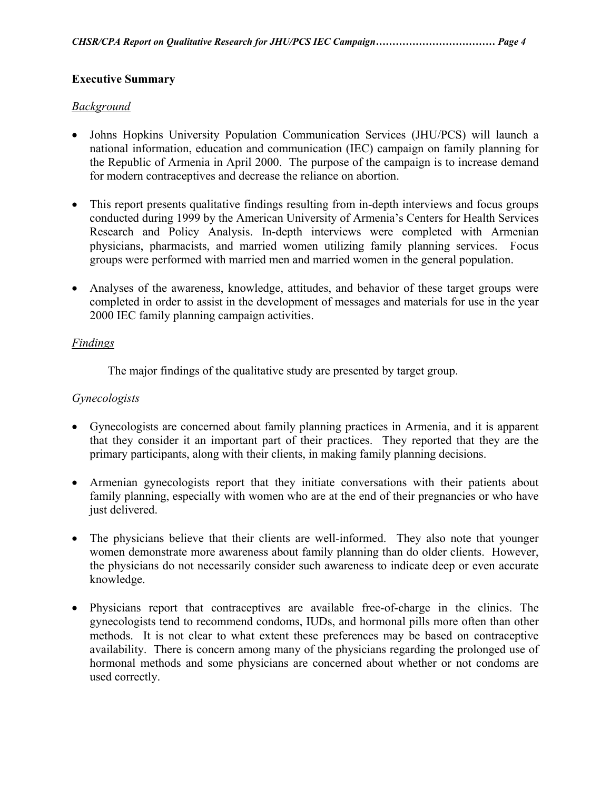## **Executive Summary**

### *Background*

- Johns Hopkins University Population Communication Services (JHU/PCS) will launch a national information, education and communication (IEC) campaign on family planning for the Republic of Armenia in April 2000. The purpose of the campaign is to increase demand for modern contraceptives and decrease the reliance on abortion.
- This report presents qualitative findings resulting from in-depth interviews and focus groups conducted during 1999 by the American University of Armenia's Centers for Health Services Research and Policy Analysis. In-depth interviews were completed with Armenian physicians, pharmacists, and married women utilizing family planning services. Focus groups were performed with married men and married women in the general population.
- Analyses of the awareness, knowledge, attitudes, and behavior of these target groups were completed in order to assist in the development of messages and materials for use in the year 2000 IEC family planning campaign activities.

### *Findings*

The major findings of the qualitative study are presented by target group.

### *Gynecologists*

- Gynecologists are concerned about family planning practices in Armenia, and it is apparent that they consider it an important part of their practices. They reported that they are the primary participants, along with their clients, in making family planning decisions.
- Armenian gynecologists report that they initiate conversations with their patients about family planning, especially with women who are at the end of their pregnancies or who have just delivered.
- The physicians believe that their clients are well-informed. They also note that younger women demonstrate more awareness about family planning than do older clients. However, the physicians do not necessarily consider such awareness to indicate deep or even accurate knowledge.
- Physicians report that contraceptives are available free-of-charge in the clinics. The gynecologists tend to recommend condoms, IUDs, and hormonal pills more often than other methods. It is not clear to what extent these preferences may be based on contraceptive availability. There is concern among many of the physicians regarding the prolonged use of hormonal methods and some physicians are concerned about whether or not condoms are used correctly.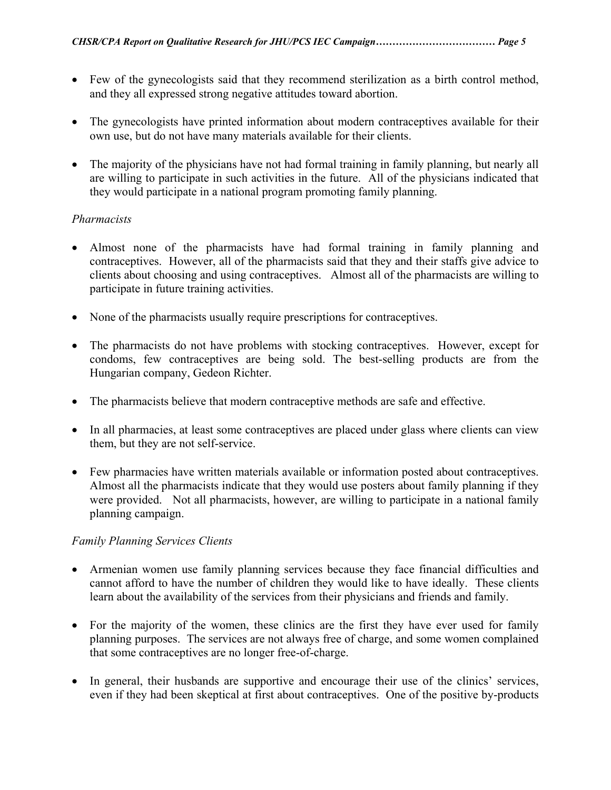- Few of the gynecologists said that they recommend sterilization as a birth control method, and they all expressed strong negative attitudes toward abortion.
- The gynecologists have printed information about modern contraceptives available for their own use, but do not have many materials available for their clients.
- The majority of the physicians have not had formal training in family planning, but nearly all are willing to participate in such activities in the future. All of the physicians indicated that they would participate in a national program promoting family planning.

### *Pharmacists*

- Almost none of the pharmacists have had formal training in family planning and contraceptives. However, all of the pharmacists said that they and their staffs give advice to clients about choosing and using contraceptives. Almost all of the pharmacists are willing to participate in future training activities.
- None of the pharmacists usually require prescriptions for contraceptives.
- The pharmacists do not have problems with stocking contraceptives. However, except for condoms, few contraceptives are being sold. The best-selling products are from the Hungarian company, Gedeon Richter.
- The pharmacists believe that modern contraceptive methods are safe and effective.
- In all pharmacies, at least some contraceptives are placed under glass where clients can view them, but they are not self-service.
- Few pharmacies have written materials available or information posted about contraceptives. Almost all the pharmacists indicate that they would use posters about family planning if they were provided. Not all pharmacists, however, are willing to participate in a national family planning campaign.

## *Family Planning Services Clients*

- Armenian women use family planning services because they face financial difficulties and cannot afford to have the number of children they would like to have ideally. These clients learn about the availability of the services from their physicians and friends and family.
- For the majority of the women, these clinics are the first they have ever used for family planning purposes. The services are not always free of charge, and some women complained that some contraceptives are no longer free-of-charge.
- In general, their husbands are supportive and encourage their use of the clinics' services, even if they had been skeptical at first about contraceptives. One of the positive by-products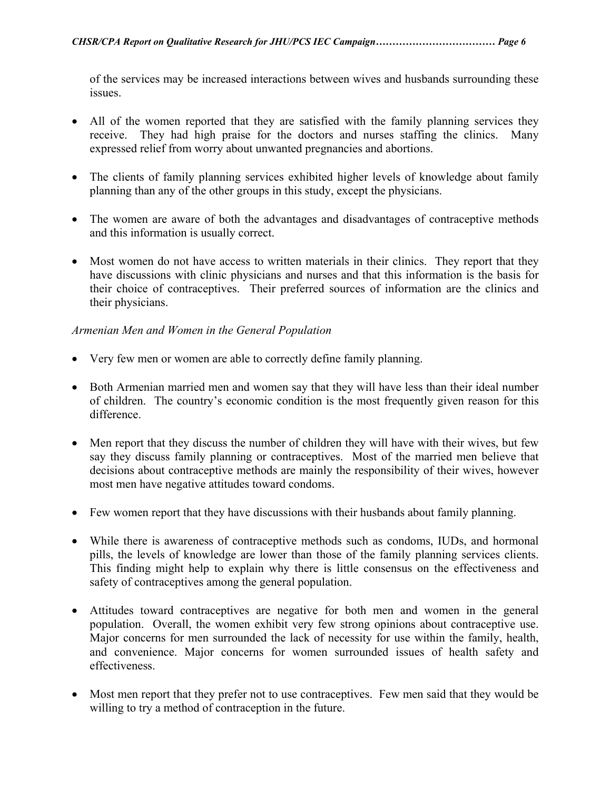of the services may be increased interactions between wives and husbands surrounding these issues.

- All of the women reported that they are satisfied with the family planning services they receive. They had high praise for the doctors and nurses staffing the clinics. Many expressed relief from worry about unwanted pregnancies and abortions.
- The clients of family planning services exhibited higher levels of knowledge about family planning than any of the other groups in this study, except the physicians.
- The women are aware of both the advantages and disadvantages of contraceptive methods and this information is usually correct.
- Most women do not have access to written materials in their clinics. They report that they have discussions with clinic physicians and nurses and that this information is the basis for their choice of contraceptives. Their preferred sources of information are the clinics and their physicians.

### *Armenian Men and Women in the General Population*

- Very few men or women are able to correctly define family planning.
- Both Armenian married men and women say that they will have less than their ideal number of children. The country's economic condition is the most frequently given reason for this difference.
- Men report that they discuss the number of children they will have with their wives, but few say they discuss family planning or contraceptives. Most of the married men believe that decisions about contraceptive methods are mainly the responsibility of their wives, however most men have negative attitudes toward condoms.
- Few women report that they have discussions with their husbands about family planning.
- While there is awareness of contraceptive methods such as condoms, IUDs, and hormonal pills, the levels of knowledge are lower than those of the family planning services clients. This finding might help to explain why there is little consensus on the effectiveness and safety of contraceptives among the general population.
- Attitudes toward contraceptives are negative for both men and women in the general population. Overall, the women exhibit very few strong opinions about contraceptive use. Major concerns for men surrounded the lack of necessity for use within the family, health, and convenience. Major concerns for women surrounded issues of health safety and effectiveness.
- Most men report that they prefer not to use contraceptives. Few men said that they would be willing to try a method of contraception in the future.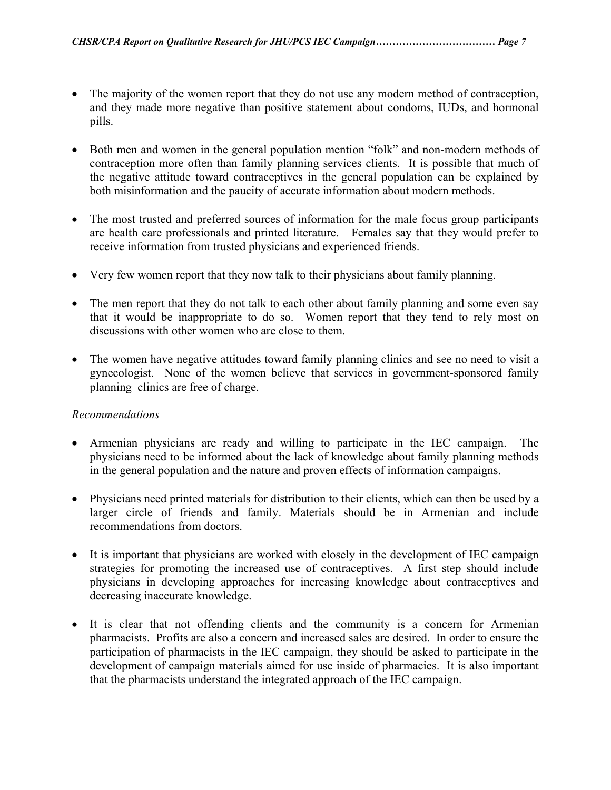- The majority of the women report that they do not use any modern method of contraception, and they made more negative than positive statement about condoms, IUDs, and hormonal pills.
- Both men and women in the general population mention "folk" and non-modern methods of contraception more often than family planning services clients. It is possible that much of the negative attitude toward contraceptives in the general population can be explained by both misinformation and the paucity of accurate information about modern methods.
- The most trusted and preferred sources of information for the male focus group participants are health care professionals and printed literature. Females say that they would prefer to receive information from trusted physicians and experienced friends.
- Very few women report that they now talk to their physicians about family planning.
- The men report that they do not talk to each other about family planning and some even say that it would be inappropriate to do so. Women report that they tend to rely most on discussions with other women who are close to them.
- The women have negative attitudes toward family planning clinics and see no need to visit a gynecologist. None of the women believe that services in government-sponsored family planning clinics are free of charge.

## *Recommendations*

- Armenian physicians are ready and willing to participate in the IEC campaign. The physicians need to be informed about the lack of knowledge about family planning methods in the general population and the nature and proven effects of information campaigns.
- Physicians need printed materials for distribution to their clients, which can then be used by a larger circle of friends and family. Materials should be in Armenian and include recommendations from doctors.
- It is important that physicians are worked with closely in the development of IEC campaign strategies for promoting the increased use of contraceptives. A first step should include physicians in developing approaches for increasing knowledge about contraceptives and decreasing inaccurate knowledge.
- It is clear that not offending clients and the community is a concern for Armenian pharmacists. Profits are also a concern and increased sales are desired. In order to ensure the participation of pharmacists in the IEC campaign, they should be asked to participate in the development of campaign materials aimed for use inside of pharmacies. It is also important that the pharmacists understand the integrated approach of the IEC campaign.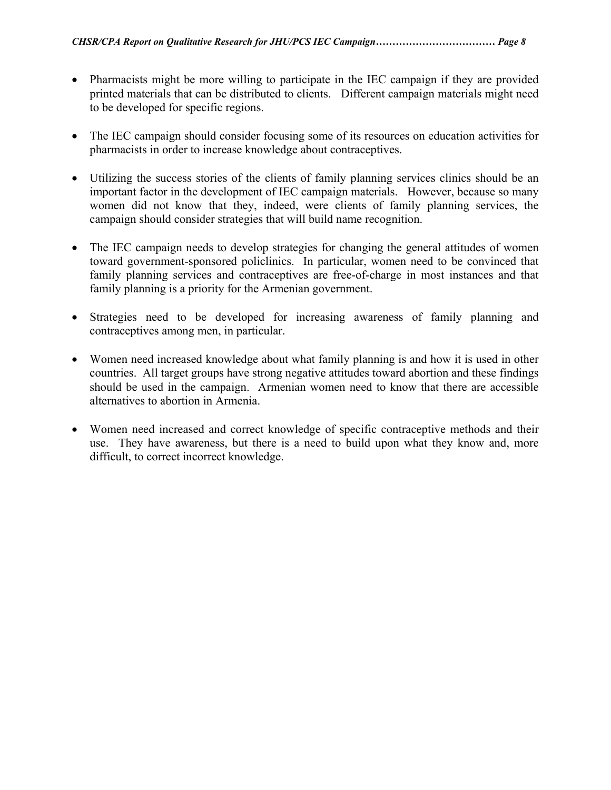- Pharmacists might be more willing to participate in the IEC campaign if they are provided printed materials that can be distributed to clients. Different campaign materials might need to be developed for specific regions.
- The IEC campaign should consider focusing some of its resources on education activities for pharmacists in order to increase knowledge about contraceptives.
- Utilizing the success stories of the clients of family planning services clinics should be an important factor in the development of IEC campaign materials. However, because so many women did not know that they, indeed, were clients of family planning services, the campaign should consider strategies that will build name recognition.
- The IEC campaign needs to develop strategies for changing the general attitudes of women toward government-sponsored policlinics. In particular, women need to be convinced that family planning services and contraceptives are free-of-charge in most instances and that family planning is a priority for the Armenian government.
- Strategies need to be developed for increasing awareness of family planning and contraceptives among men, in particular.
- Women need increased knowledge about what family planning is and how it is used in other countries. All target groups have strong negative attitudes toward abortion and these findings should be used in the campaign. Armenian women need to know that there are accessible alternatives to abortion in Armenia.
- Women need increased and correct knowledge of specific contraceptive methods and their use. They have awareness, but there is a need to build upon what they know and, more difficult, to correct incorrect knowledge.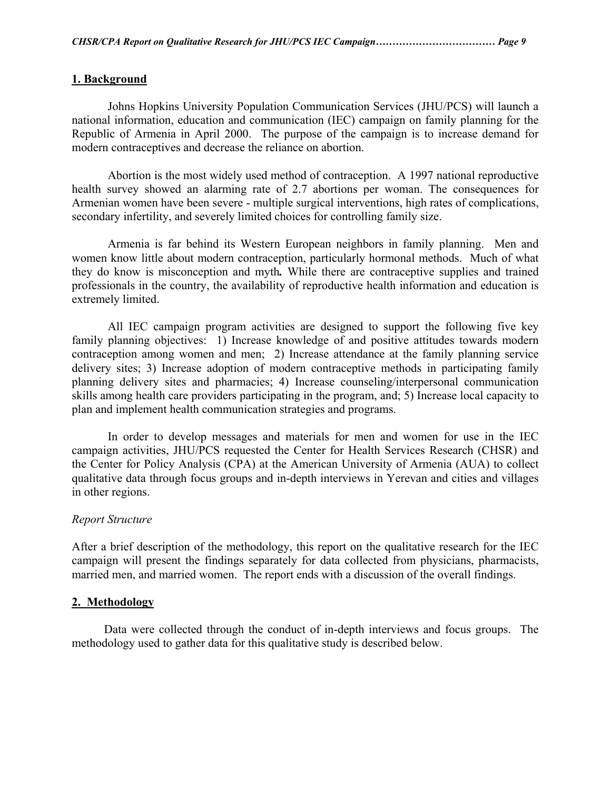#### **1. Background**

 Johns Hopkins University Population Communication Services (JHU/PCS) will launch a national information, education and communication (IEC) campaign on family planning for the Republic of Armenia in April 2000. The purpose of the campaign is to increase demand for modern contraceptives and decrease the reliance on abortion.

Abortion is the most widely used method of contraception. A 1997 national reproductive health survey showed an alarming rate of 2.7 abortions per woman. The consequences for Armenian women have been severe - multiple surgical interventions, high rates of complications, secondary infertility, and severely limited choices for controlling family size.

Armenia is far behind its Western European neighbors in family planning. Men and women know little about modern contraception, particularly hormonal methods. Much of what they do know is misconception and myth*.* While there are contraceptive supplies and trained professionals in the country, the availability of reproductive health information and education is extremely limited.

All IEC campaign program activities are designed to support the following five key family planning objectives: 1) Increase knowledge of and positive attitudes towards modern contraception among women and men; 2) Increase attendance at the family planning service delivery sites; 3) Increase adoption of modern contraceptive methods in participating family planning delivery sites and pharmacies; 4) Increase counseling/interpersonal communication skills among health care providers participating in the program, and; 5) Increase local capacity to plan and implement health communication strategies and programs.

In order to develop messages and materials for men and women for use in the IEC campaign activities, JHU/PCS requested the Center for Health Services Research (CHSR) and the Center for Policy Analysis (CPA) at the American University of Armenia (AUA) to collect qualitative data through focus groups and in-depth interviews in Yerevan and cities and villages in other regions.

#### *Report Structure*

After a brief description of the methodology, this report on the qualitative research for the IEC campaign will present the findings separately for data collected from physicians, pharmacists, married men, and married women. The report ends with a discussion of the overall findings.

#### **2. Methodology**

 Data were collected through the conduct of in-depth interviews and focus groups. The methodology used to gather data for this qualitative study is described below.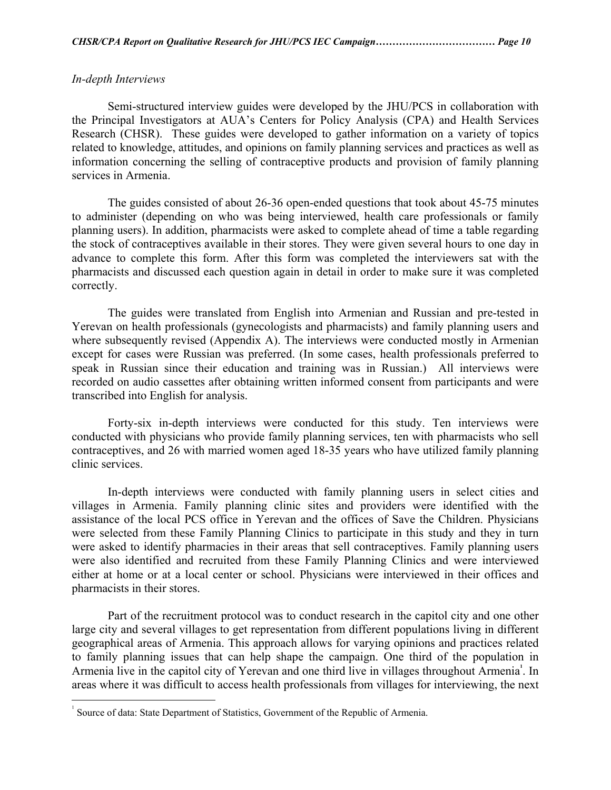#### *In-depth Interviews*

 $\overline{a}$ 

Semi-structured interview guides were developed by the JHU/PCS in collaboration with the Principal Investigators at AUA's Centers for Policy Analysis (CPA) and Health Services Research (CHSR). These guides were developed to gather information on a variety of topics related to knowledge, attitudes, and opinions on family planning services and practices as well as information concerning the selling of contraceptive products and provision of family planning services in Armenia.

The guides consisted of about 26-36 open-ended questions that took about 45-75 minutes to administer (depending on who was being interviewed, health care professionals or family planning users). In addition, pharmacists were asked to complete ahead of time a table regarding the stock of contraceptives available in their stores. They were given several hours to one day in advance to complete this form. After this form was completed the interviewers sat with the pharmacists and discussed each question again in detail in order to make sure it was completed correctly.

The guides were translated from English into Armenian and Russian and pre-tested in Yerevan on health professionals (gynecologists and pharmacists) and family planning users and where subsequently revised (Appendix A). The interviews were conducted mostly in Armenian except for cases were Russian was preferred. (In some cases, health professionals preferred to speak in Russian since their education and training was in Russian.) All interviews were recorded on audio cassettes after obtaining written informed consent from participants and were transcribed into English for analysis.

Forty-six in-depth interviews were conducted for this study. Ten interviews were conducted with physicians who provide family planning services, ten with pharmacists who sell contraceptives, and 26 with married women aged 18-35 years who have utilized family planning clinic services.

In-depth interviews were conducted with family planning users in select cities and villages in Armenia. Family planning clinic sites and providers were identified with the assistance of the local PCS office in Yerevan and the offices of Save the Children. Physicians were selected from these Family Planning Clinics to participate in this study and they in turn were asked to identify pharmacies in their areas that sell contraceptives. Family planning users were also identified and recruited from these Family Planning Clinics and were interviewed either at home or at a local center or school. Physicians were interviewed in their offices and pharmacists in their stores.

Part of the recruitment protocol was to conduct research in the capitol city and one other large city and several villages to get representation from different populations living in different geographical areas of Armenia. This approach allows for varying opinions and practices related to family planning issues that can help shape the campaign. One third of the population in Armenia live in the capitol city of Yerevan and one third live in villages throughout Armenia<sup>1</sup>[.](#page-9-0) In areas where it was difficult to access health professionals from villages for interviewing, the next

<span id="page-9-0"></span><sup>1</sup> Source of data: State Department of Statistics, Government of the Republic of Armenia.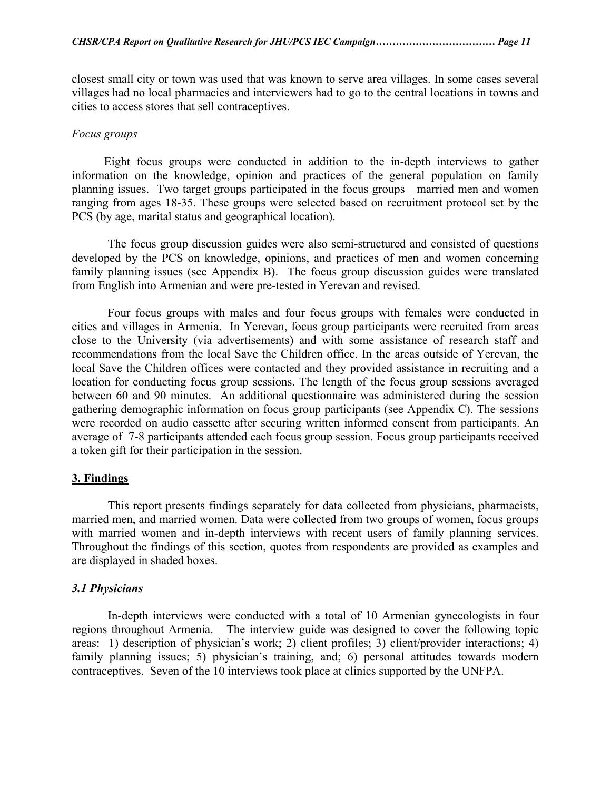closest small city or town was used that was known to serve area villages. In some cases several villages had no local pharmacies and interviewers had to go to the central locations in towns and cities to access stores that sell contraceptives.

#### *Focus groups*

 Eight focus groups were conducted in addition to the in-depth interviews to gather information on the knowledge, opinion and practices of the general population on family planning issues. Two target groups participated in the focus groups—married men and women ranging from ages 18-35. These groups were selected based on recruitment protocol set by the PCS (by age, marital status and geographical location).

The focus group discussion guides were also semi-structured and consisted of questions developed by the PCS on knowledge, opinions, and practices of men and women concerning family planning issues (see Appendix B). The focus group discussion guides were translated from English into Armenian and were pre-tested in Yerevan and revised.

Four focus groups with males and four focus groups with females were conducted in cities and villages in Armenia. In Yerevan, focus group participants were recruited from areas close to the University (via advertisements) and with some assistance of research staff and recommendations from the local Save the Children office. In the areas outside of Yerevan, the local Save the Children offices were contacted and they provided assistance in recruiting and a location for conducting focus group sessions. The length of the focus group sessions averaged between 60 and 90 minutes. An additional questionnaire was administered during the session gathering demographic information on focus group participants (see Appendix C). The sessions were recorded on audio cassette after securing written informed consent from participants. An average of 7-8 participants attended each focus group session. Focus group participants received a token gift for their participation in the session.

#### **3. Findings**

This report presents findings separately for data collected from physicians, pharmacists, married men, and married women. Data were collected from two groups of women, focus groups with married women and in-depth interviews with recent users of family planning services. Throughout the findings of this section, quotes from respondents are provided as examples and are displayed in shaded boxes.

#### *3.1 Physicians*

In-depth interviews were conducted with a total of 10 Armenian gynecologists in four regions throughout Armenia. The interview guide was designed to cover the following topic areas: 1) description of physician's work; 2) client profiles; 3) client/provider interactions; 4) family planning issues; 5) physician's training, and; 6) personal attitudes towards modern contraceptives. Seven of the 10 interviews took place at clinics supported by the UNFPA.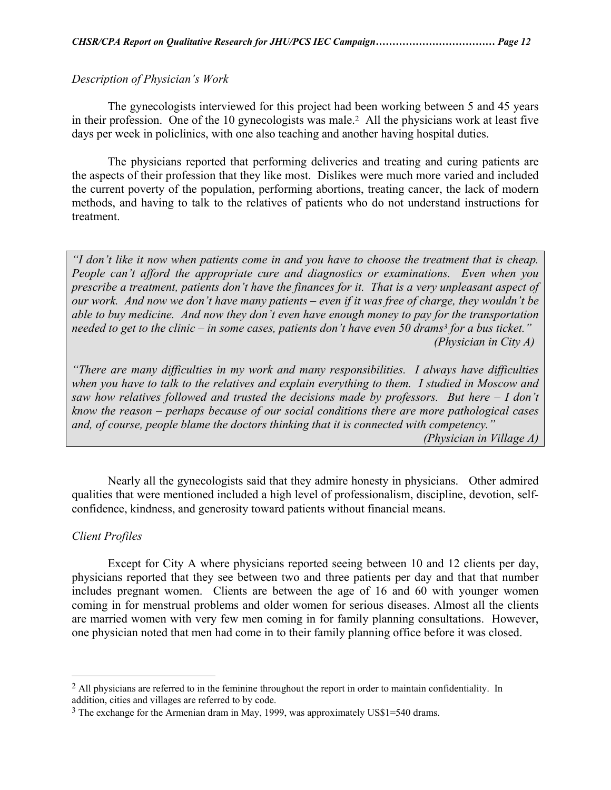### *Description of Physician's Work*

 The gynecologists interviewed for this project had been working between 5 and 45 years in their profession. One of the 10 gynecologists was male.[2](#page-11-0) All the physicians work at least five days per week in policlinics, with one also teaching and another having hospital duties.

 The physicians reported that performing deliveries and treating and curing patients are the aspects of their profession that they like most. Dislikes were much more varied and included the current poverty of the population, performing abortions, treating cancer, the lack of modern methods, and having to talk to the relatives of patients who do not understand instructions for treatment.

*"I don't like it now when patients come in and you have to choose the treatment that is cheap. People can't afford the appropriate cure and diagnostics or examinations. Even when you prescribe a treatment, patients don't have the finances for it. That is a very unpleasant aspect of our work. And now we don't have many patients – even if it was free of charge, they wouldn't be able to buy medicine. And now they don't even have enough money to pay for the transportation needed to get to the clinic – in some cases, patients don't have even 50 drams[3](#page-11-1) for a bus ticket." (Physician in City A)* 

*"There are many difficulties in my work and many responsibilities. I always have difficulties when you have to talk to the relatives and explain everything to them. I studied in Moscow and saw how relatives followed and trusted the decisions made by professors. But here – I don't know the reason – perhaps because of our social conditions there are more pathological cases and, of course, people blame the doctors thinking that it is connected with competency." (Physician in Village A)* 

 Nearly all the gynecologists said that they admire honesty in physicians. Other admired qualities that were mentioned included a high level of professionalism, discipline, devotion, selfconfidence, kindness, and generosity toward patients without financial means.

#### *Client Profiles*

 $\overline{a}$ 

Except for City A where physicians reported seeing between 10 and 12 clients per day, physicians reported that they see between two and three patients per day and that that number includes pregnant women. Clients are between the age of 16 and 60 with younger women coming in for menstrual problems and older women for serious diseases. Almost all the clients are married women with very few men coming in for family planning consultations. However, one physician noted that men had come in to their family planning office before it was closed.

<span id="page-11-0"></span><sup>&</sup>lt;sup>2</sup> All physicians are referred to in the feminine throughout the report in order to maintain confidentiality. In addition, cities and villages are referred to by code.

<span id="page-11-1"></span><sup>3</sup> The exchange for the Armenian dram in May, 1999, was approximately US\$1=540 drams.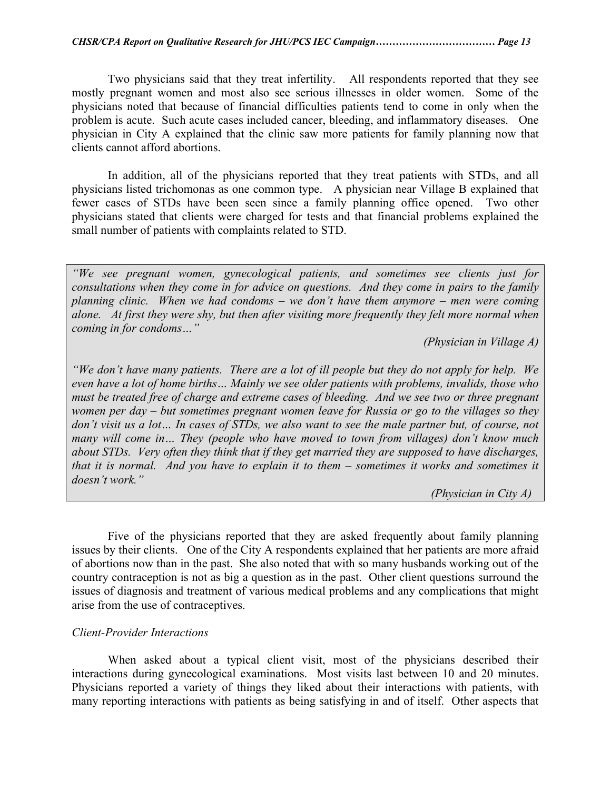Two physicians said that they treat infertility. All respondents reported that they see mostly pregnant women and most also see serious illnesses in older women. Some of the physicians noted that because of financial difficulties patients tend to come in only when the problem is acute. Such acute cases included cancer, bleeding, and inflammatory diseases. One physician in City A explained that the clinic saw more patients for family planning now that clients cannot afford abortions.

In addition, all of the physicians reported that they treat patients with STDs, and all physicians listed trichomonas as one common type. A physician near Village B explained that fewer cases of STDs have been seen since a family planning office opened. Two other physicians stated that clients were charged for tests and that financial problems explained the small number of patients with complaints related to STD.

*"We see pregnant women, gynecological patients, and sometimes see clients just for consultations when they come in for advice on questions. And they come in pairs to the family planning clinic. When we had condoms – we don't have them anymore – men were coming alone. At first they were shy, but then after visiting more frequently they felt more normal when coming in for condoms…"* 

 *(Physician in Village A)* 

*"We don't have many patients. There are a lot of ill people but they do not apply for help. We even have a lot of home births… Mainly we see older patients with problems, invalids, those who must be treated free of charge and extreme cases of bleeding. And we see two or three pregnant women per day – but sometimes pregnant women leave for Russia or go to the villages so they don't visit us a lot… In cases of STDs, we also want to see the male partner but, of course, not many will come in… They (people who have moved to town from villages) don't know much about STDs. Very often they think that if they get married they are supposed to have discharges, that it is normal. And you have to explain it to them – sometimes it works and sometimes it doesn't work."* 

 *(Physician in City A)* 

Five of the physicians reported that they are asked frequently about family planning issues by their clients. One of the City A respondents explained that her patients are more afraid of abortions now than in the past. She also noted that with so many husbands working out of the country contraception is not as big a question as in the past. Other client questions surround the issues of diagnosis and treatment of various medical problems and any complications that might arise from the use of contraceptives.

#### *Client-Provider Interactions*

 When asked about a typical client visit, most of the physicians described their interactions during gynecological examinations. Most visits last between 10 and 20 minutes. Physicians reported a variety of things they liked about their interactions with patients, with many reporting interactions with patients as being satisfying in and of itself. Other aspects that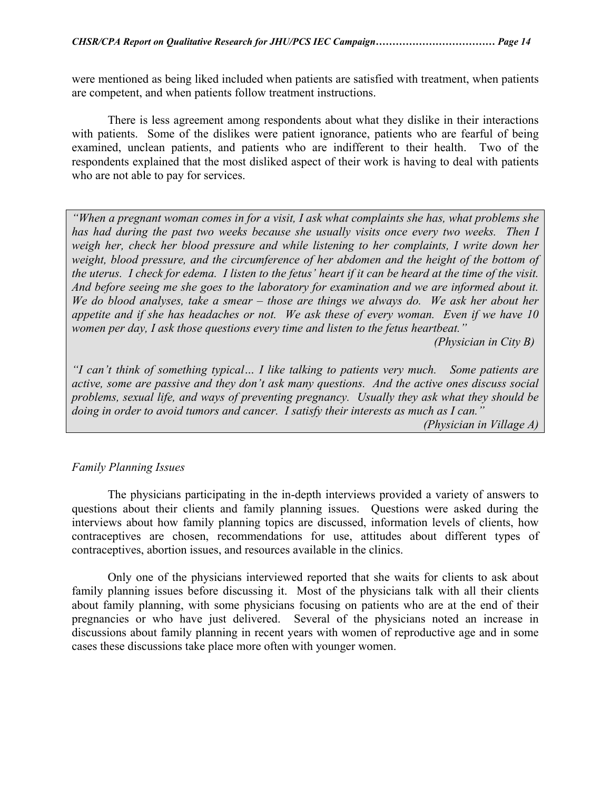were mentioned as being liked included when patients are satisfied with treatment, when patients are competent, and when patients follow treatment instructions.

There is less agreement among respondents about what they dislike in their interactions with patients. Some of the dislikes were patient ignorance, patients who are fearful of being examined, unclean patients, and patients who are indifferent to their health. Two of the respondents explained that the most disliked aspect of their work is having to deal with patients who are not able to pay for services.

*"When a pregnant woman comes in for a visit, I ask what complaints she has, what problems she*  has had during the past two weeks because she usually visits once every two weeks. Then I *weigh her, check her blood pressure and while listening to her complaints, I write down her weight, blood pressure, and the circumference of her abdomen and the height of the bottom of the uterus. I check for edema. I listen to the fetus' heart if it can be heard at the time of the visit. And before seeing me she goes to the laboratory for examination and we are informed about it. We do blood analyses, take a smear – those are things we always do. We ask her about her appetite and if she has headaches or not. We ask these of every woman. Even if we have 10 women per day, I ask those questions every time and listen to the fetus heartbeat."* 

 *(Physician in City B)* 

*"I can't think of something typical… I like talking to patients very much. Some patients are active, some are passive and they don't ask many questions. And the active ones discuss social problems, sexual life, and ways of preventing pregnancy. Usually they ask what they should be doing in order to avoid tumors and cancer. I satisfy their interests as much as I can."* 

 *(Physician in Village A)* 

#### *Family Planning Issues*

 The physicians participating in the in-depth interviews provided a variety of answers to questions about their clients and family planning issues. Questions were asked during the interviews about how family planning topics are discussed, information levels of clients, how contraceptives are chosen, recommendations for use, attitudes about different types of contraceptives, abortion issues, and resources available in the clinics.

Only one of the physicians interviewed reported that she waits for clients to ask about family planning issues before discussing it. Most of the physicians talk with all their clients about family planning, with some physicians focusing on patients who are at the end of their pregnancies or who have just delivered. Several of the physicians noted an increase in discussions about family planning in recent years with women of reproductive age and in some cases these discussions take place more often with younger women.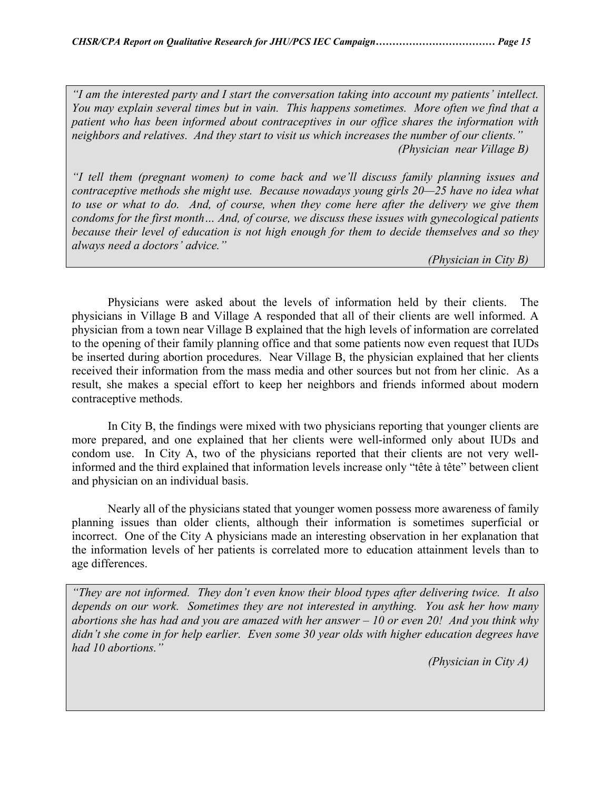*"I am the interested party and I start the conversation taking into account my patients' intellect. You may explain several times but in vain. This happens sometimes. More often we find that a patient who has been informed about contraceptives in our office shares the information with neighbors and relatives. And they start to visit us which increases the number of our clients." (Physician near Village B)* 

*"I tell them (pregnant women) to come back and we'll discuss family planning issues and contraceptive methods she might use. Because nowadays young girls 20—25 have no idea what to use or what to do. And, of course, when they come here after the delivery we give them condoms for the first month… And, of course, we discuss these issues with gynecological patients because their level of education is not high enough for them to decide themselves and so they always need a doctors' advice."* 

 *(Physician in City B)* 

 Physicians were asked about the levels of information held by their clients. The physicians in Village B and Village A responded that all of their clients are well informed. A physician from a town near Village B explained that the high levels of information are correlated to the opening of their family planning office and that some patients now even request that IUDs be inserted during abortion procedures. Near Village B, the physician explained that her clients received their information from the mass media and other sources but not from her clinic. As a result, she makes a special effort to keep her neighbors and friends informed about modern contraceptive methods.

In City B, the findings were mixed with two physicians reporting that younger clients are more prepared, and one explained that her clients were well-informed only about IUDs and condom use. In City A, two of the physicians reported that their clients are not very wellinformed and the third explained that information levels increase only "tête à tête" between client and physician on an individual basis.

Nearly all of the physicians stated that younger women possess more awareness of family planning issues than older clients, although their information is sometimes superficial or incorrect. One of the City A physicians made an interesting observation in her explanation that the information levels of her patients is correlated more to education attainment levels than to age differences.

*"They are not informed. They don't even know their blood types after delivering twice. It also depends on our work. Sometimes they are not interested in anything. You ask her how many abortions she has had and you are amazed with her answer – 10 or even 20! And you think why didn't she come in for help earlier. Even some 30 year olds with higher education degrees have had 10 abortions."* 

 *(Physician in City A)*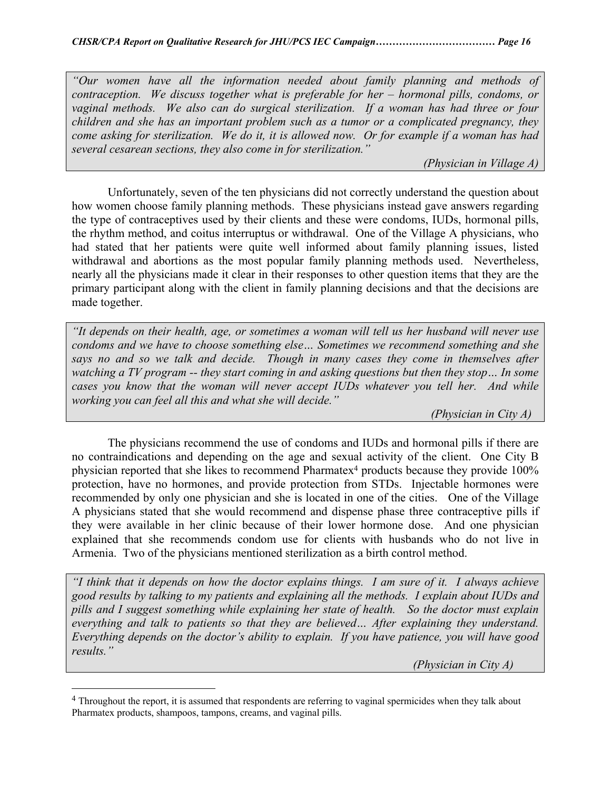*"Our women have all the information needed about family planning and methods of contraception. We discuss together what is preferable for her – hormonal pills, condoms, or vaginal methods. We also can do surgical sterilization. If a woman has had three or four children and she has an important problem such as a tumor or a complicated pregnancy, they come asking for sterilization. We do it, it is allowed now. Or for example if a woman has had several cesarean sections, they also come in for sterilization."* 

 *(Physician in Village A)* 

Unfortunately, seven of the ten physicians did not correctly understand the question about how women choose family planning methods. These physicians instead gave answers regarding the type of contraceptives used by their clients and these were condoms, IUDs, hormonal pills, the rhythm method, and coitus interruptus or withdrawal. One of the Village A physicians, who had stated that her patients were quite well informed about family planning issues, listed withdrawal and abortions as the most popular family planning methods used. Nevertheless, nearly all the physicians made it clear in their responses to other question items that they are the primary participant along with the client in family planning decisions and that the decisions are made together.

*"It depends on their health, age, or sometimes a woman will tell us her husband will never use condoms and we have to choose something else… Sometimes we recommend something and she says no and so we talk and decide. Though in many cases they come in themselves after watching a TV program -- they start coming in and asking questions but then they stop… In some cases you know that the woman will never accept IUDs whatever you tell her. And while working you can feel all this and what she will decide."* 

 *(Physician in City A)* 

The physicians recommend the use of condoms and IUDs and hormonal pills if there are no contraindications and depending on the age and sexual activity of the client. One City B physician reported that she likes to recommend Pharmatex<sup>4</sup> products because they provide 100% protection, have no hormones, and provide protection from STDs. Injectable hormones were recommended by only one physician and she is located in one of the cities. One of the Village A physicians stated that she would recommend and dispense phase three contraceptive pills if they were available in her clinic because of their lower hormone dose. And one physician explained that she recommends condom use for clients with husbands who do not live in Armenia. Two of the physicians mentioned sterilization as a birth control method.

*"I think that it depends on how the doctor explains things. I am sure of it. I always achieve good results by talking to my patients and explaining all the methods. I explain about IUDs and pills and I suggest something while explaining her state of health. So the doctor must explain everything and talk to patients so that they are believed… After explaining they understand. Everything depends on the doctor's ability to explain. If you have patience, you will have good results."* 

 *(Physician in City A)* 

 $\overline{a}$ 

<span id="page-15-0"></span><sup>4</sup> Throughout the report, it is assumed that respondents are referring to vaginal spermicides when they talk about Pharmatex products, shampoos, tampons, creams, and vaginal pills.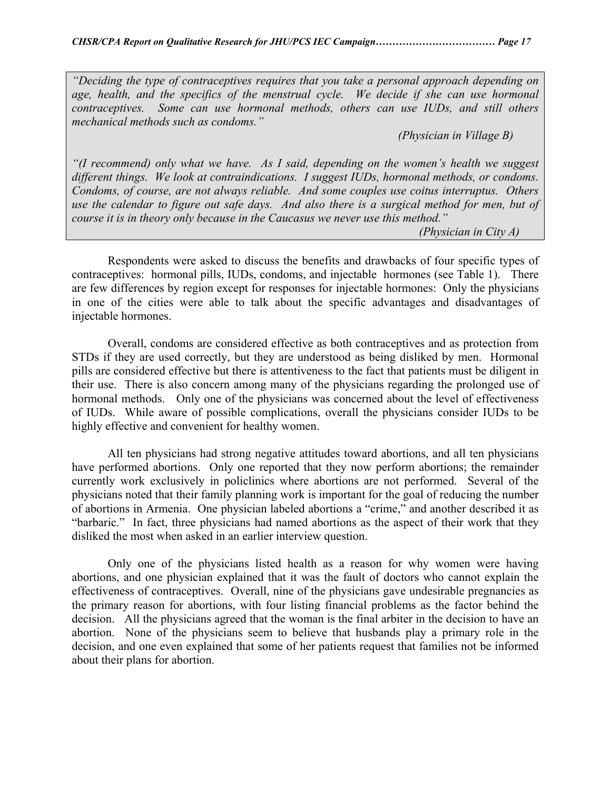*"Deciding the type of contraceptives requires that you take a personal approach depending on age, health, and the specifics of the menstrual cycle. We decide if she can use hormonal contraceptives. Some can use hormonal methods, others can use IUDs, and still others mechanical methods such as condoms."* 

 *(Physician in Village B)* 

*"(I recommend) only what we have. As I said, depending on the women's health we suggest different things. We look at contraindications. I suggest IUDs, hormonal methods, or condoms. Condoms, of course, are not always reliable. And some couples use coitus interruptus. Others use the calendar to figure out safe days. And also there is a surgical method for men, but of course it is in theory only because in the Caucasus we never use this method."* 

 *(Physician in City A)* 

Respondents were asked to discuss the benefits and drawbacks of four specific types of contraceptives: hormonal pills, IUDs, condoms, and injectable hormones (see Table 1). There are few differences by region except for responses for injectable hormones: Only the physicians in one of the cities were able to talk about the specific advantages and disadvantages of injectable hormones.

Overall, condoms are considered effective as both contraceptives and as protection from STDs if they are used correctly, but they are understood as being disliked by men. Hormonal pills are considered effective but there is attentiveness to the fact that patients must be diligent in their use. There is also concern among many of the physicians regarding the prolonged use of hormonal methods. Only one of the physicians was concerned about the level of effectiveness of IUDs. While aware of possible complications, overall the physicians consider IUDs to be highly effective and convenient for healthy women.

All ten physicians had strong negative attitudes toward abortions, and all ten physicians have performed abortions. Only one reported that they now perform abortions; the remainder currently work exclusively in policlinics where abortions are not performed. Several of the physicians noted that their family planning work is important for the goal of reducing the number of abortions in Armenia. One physician labeled abortions a "crime," and another described it as "barbaric." In fact, three physicians had named abortions as the aspect of their work that they disliked the most when asked in an earlier interview question.

Only one of the physicians listed health as a reason for why women were having abortions, and one physician explained that it was the fault of doctors who cannot explain the effectiveness of contraceptives. Overall, nine of the physicians gave undesirable pregnancies as the primary reason for abortions, with four listing financial problems as the factor behind the decision. All the physicians agreed that the woman is the final arbiter in the decision to have an abortion. None of the physicians seem to believe that husbands play a primary role in the decision, and one even explained that some of her patients request that families not be informed about their plans for abortion.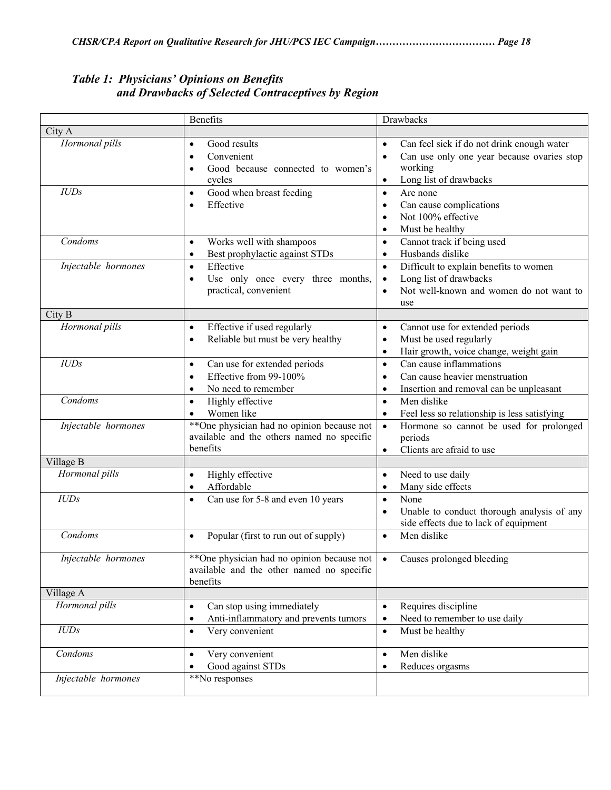|                               | Benefits                                                                                                                                                                            | Drawbacks                                                                                                                                                                                                                                                                |
|-------------------------------|-------------------------------------------------------------------------------------------------------------------------------------------------------------------------------------|--------------------------------------------------------------------------------------------------------------------------------------------------------------------------------------------------------------------------------------------------------------------------|
| City A                        |                                                                                                                                                                                     |                                                                                                                                                                                                                                                                          |
| Hormonal pills<br><b>IUDs</b> | Good results<br>$\bullet$<br>Convenient<br>$\bullet$<br>Good because connected to women's<br>$\bullet$<br>cycles<br>Good when breast feeding<br>$\bullet$<br>Effective<br>$\bullet$ | Can feel sick if do not drink enough water<br>$\bullet$<br>Can use only one year because ovaries stop<br>$\bullet$<br>working<br>Long list of drawbacks<br>$\bullet$<br>Are none<br>$\bullet$<br>Can cause complications<br>$\bullet$<br>Not 100% effective<br>$\bullet$ |
| Condoms                       | Works well with shampoos<br>$\bullet$<br>Best prophylactic against STDs<br>$\bullet$                                                                                                | Must be healthy<br>$\bullet$<br>Cannot track if being used<br>$\bullet$<br>Husbands dislike<br>$\bullet$                                                                                                                                                                 |
| Injectable hormones           | Effective<br>$\bullet$<br>Use only once every three months,<br>$\bullet$<br>practical, convenient                                                                                   | Difficult to explain benefits to women<br>$\bullet$<br>Long list of drawbacks<br>$\bullet$<br>Not well-known and women do not want to<br>$\bullet$<br>use                                                                                                                |
| City B                        |                                                                                                                                                                                     |                                                                                                                                                                                                                                                                          |
| Hormonal pills                | Effective if used regularly<br>$\bullet$<br>Reliable but must be very healthy<br>$\bullet$                                                                                          | Cannot use for extended periods<br>$\bullet$<br>Must be used regularly<br>$\bullet$<br>Hair growth, voice change, weight gain<br>$\bullet$                                                                                                                               |
| IUDs                          | Can use for extended periods<br>$\bullet$<br>Effective from 99-100%<br>$\bullet$<br>No need to remember<br>$\bullet$                                                                | Can cause inflammations<br>$\bullet$<br>Can cause heavier menstruation<br>$\bullet$<br>Insertion and removal can be unpleasant<br>$\bullet$                                                                                                                              |
| Condoms                       | Highly effective<br>$\bullet$<br>Women like<br>$\bullet$                                                                                                                            | Men dislike<br>$\bullet$<br>Feel less so relationship is less satisfying<br>$\bullet$                                                                                                                                                                                    |
| Injectable hormones           | **One physician had no opinion because not<br>available and the others named no specific<br>benefits                                                                                | Hormone so cannot be used for prolonged<br>$\bullet$<br>periods<br>Clients are afraid to use<br>$\bullet$                                                                                                                                                                |
| Village B                     |                                                                                                                                                                                     |                                                                                                                                                                                                                                                                          |
| Hormonal pills                | Highly effective<br>$\bullet$<br>Affordable<br>$\bullet$                                                                                                                            | Need to use daily<br>$\bullet$<br>Many side effects<br>$\bullet$                                                                                                                                                                                                         |
| IUDs                          | Can use for 5-8 and even 10 years<br>$\bullet$                                                                                                                                      | None<br>$\bullet$<br>Unable to conduct thorough analysis of any<br>side effects due to lack of equipment                                                                                                                                                                 |
| Condoms                       | Popular (first to run out of supply)<br>$\bullet$                                                                                                                                   | Men dislike<br>$\bullet$                                                                                                                                                                                                                                                 |
| Injectable hormones           | **One physician had no opinion because not<br>available and the other named no specific<br>benefits                                                                                 | Causes prolonged bleeding                                                                                                                                                                                                                                                |
| Village A                     |                                                                                                                                                                                     |                                                                                                                                                                                                                                                                          |
| Hormonal pills                | Can stop using immediately<br>$\bullet$<br>Anti-inflammatory and prevents tumors<br>$\bullet$                                                                                       | Requires discipline<br>$\bullet$<br>Need to remember to use daily<br>$\bullet$                                                                                                                                                                                           |
| IUDs                          | Very convenient<br>$\bullet$                                                                                                                                                        | Must be healthy<br>$\bullet$                                                                                                                                                                                                                                             |
| Condoms                       | Very convenient<br>$\bullet$<br>Good against STDs                                                                                                                                   | Men dislike<br>$\bullet$<br>Reduces orgasms<br>$\bullet$                                                                                                                                                                                                                 |
| Injectable hormones           | **No responses                                                                                                                                                                      |                                                                                                                                                                                                                                                                          |

## *Table 1: Physicians' Opinions on Benefits and Drawbacks of Selected Contraceptives by Region*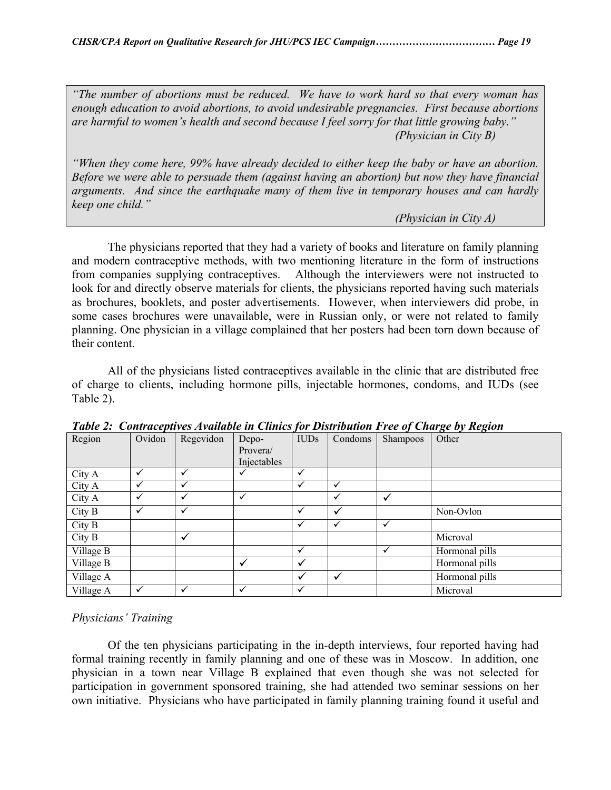*"The number of abortions must be reduced. We have to work hard so that every woman has enough education to avoid abortions, to avoid undesirable pregnancies. First because abortions are harmful to women's health and second because I feel sorry for that little growing baby." (Physician in City B)* 

*"When they come here, 99% have already decided to either keep the baby or have an abortion. Before we were able to persuade them (against having an abortion) but now they have financial arguments. And since the earthquake many of them live in temporary houses and can hardly keep one child."* 

 *(Physician in City A)* 

The physicians reported that they had a variety of books and literature on family planning and modern contraceptive methods, with two mentioning literature in the form of instructions from companies supplying contraceptives. Although the interviewers were not instructed to look for and directly observe materials for clients, the physicians reported having such materials as brochures, booklets, and poster advertisements. However, when interviewers did probe, in some cases brochures were unavailable, were in Russian only, or were not related to family planning. One physician in a village complained that her posters had been torn down because of their content.

All of the physicians listed contraceptives available in the clinic that are distributed free of charge to clients, including hormone pills, injectable hormones, condoms, and IUDs (see Table 2).

| Region    | Ovidon       | Regevidon | Depo-<br>Provera/ | <b>IUDs</b>  | Condoms      | Shampoos     | Other          |
|-----------|--------------|-----------|-------------------|--------------|--------------|--------------|----------------|
|           |              |           | Injectables       |              |              |              |                |
| City A    | $\checkmark$ | ✓         |                   | ✓            |              |              |                |
| City A    | ✓            | ✓         |                   |              | $\checkmark$ |              |                |
| City A    | ✓            | ✓         | ✓                 |              | ✓            | v            |                |
| City B    | ✓            | ✓         |                   | v            | ✓            |              | Non-Ovlon      |
| City B    |              |           |                   | ✓            | $\checkmark$ | $\checkmark$ |                |
| City B    |              | ✓         |                   |              |              |              | Microval       |
| Village B |              |           |                   | $\checkmark$ |              | ✓            | Hormonal pills |
| Village B |              |           | ✓                 | ✓            |              |              | Hormonal pills |
| Village A |              |           |                   | ✓            | V            |              | Hormonal pills |
| Village A | $\checkmark$ | √         | ✓                 | ✓            |              |              | Microval       |

*Table 2: Contraceptives Available in Clinics for Distribution Free of Charge by Region* 

## *Physicians' Training*

 Of the ten physicians participating in the in-depth interviews, four reported having had formal training recently in family planning and one of these was in Moscow. In addition, one physician in a town near Village B explained that even though she was not selected for participation in government sponsored training, she had attended two seminar sessions on her own initiative. Physicians who have participated in family planning training found it useful and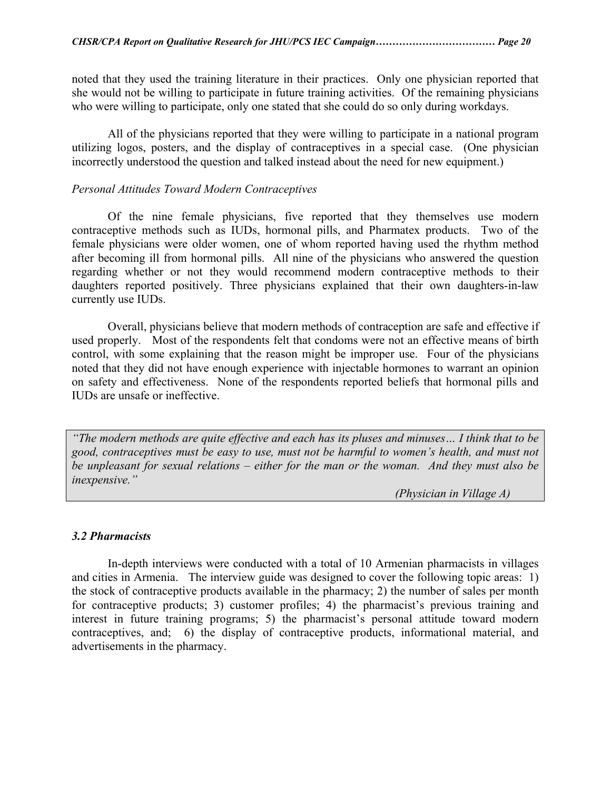noted that they used the training literature in their practices. Only one physician reported that she would not be willing to participate in future training activities. Of the remaining physicians who were willing to participate, only one stated that she could do so only during workdays.

 All of the physicians reported that they were willing to participate in a national program utilizing logos, posters, and the display of contraceptives in a special case. (One physician incorrectly understood the question and talked instead about the need for new equipment.)

#### *Personal Attitudes Toward Modern Contraceptives*

 Of the nine female physicians, five reported that they themselves use modern contraceptive methods such as IUDs, hormonal pills, and Pharmatex products. Two of the female physicians were older women, one of whom reported having used the rhythm method after becoming ill from hormonal pills. All nine of the physicians who answered the question regarding whether or not they would recommend modern contraceptive methods to their daughters reported positively. Three physicians explained that their own daughters-in-law currently use IUDs.

 Overall, physicians believe that modern methods of contraception are safe and effective if used properly. Most of the respondents felt that condoms were not an effective means of birth control, with some explaining that the reason might be improper use. Four of the physicians noted that they did not have enough experience with injectable hormones to warrant an opinion on safety and effectiveness. None of the respondents reported beliefs that hormonal pills and IUDs are unsafe or ineffective.

*"The modern methods are quite effective and each has its pluses and minuses… I think that to be good, contraceptives must be easy to use, must not be harmful to women's health, and must not be unpleasant for sexual relations – either for the man or the woman. And they must also be inexpensive."* 

 *(Physician in Village A)* 

#### *3.2 Pharmacists*

In-depth interviews were conducted with a total of 10 Armenian pharmacists in villages and cities in Armenia. The interview guide was designed to cover the following topic areas: 1) the stock of contraceptive products available in the pharmacy; 2) the number of sales per month for contraceptive products; 3) customer profiles; 4) the pharmacist's previous training and interest in future training programs; 5) the pharmacist's personal attitude toward modern contraceptives, and; 6) the display of contraceptive products, informational material, and advertisements in the pharmacy.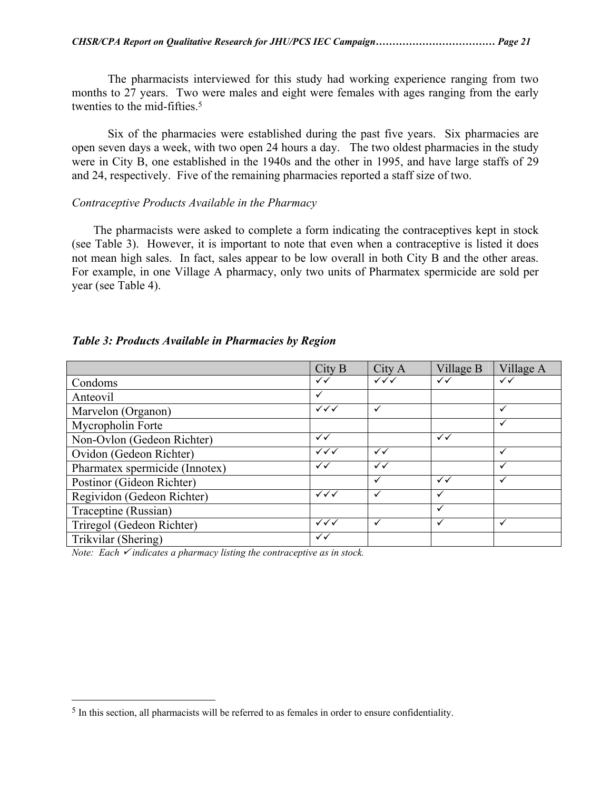The pharmacists interviewed for this study had working experience ranging from two months to 27 years. Two were males and eight were females with ages ranging from the early twenties to the mid-fifties.<sup>[5](#page-20-0)</sup>

Six of the pharmacies were established during the past five years. Six pharmacies are open seven days a week, with two open 24 hours a day. The two oldest pharmacies in the study were in City B, one established in the 1940s and the other in 1995, and have large staffs of 29 and 24, respectively. Five of the remaining pharmacies reported a staff size of two.

#### *Contraceptive Products Available in the Pharmacy*

 The pharmacists were asked to complete a form indicating the contraceptives kept in stock (see Table 3). However, it is important to note that even when a contraceptive is listed it does not mean high sales. In fact, sales appear to be low overall in both City B and the other areas. For example, in one Village A pharmacy, only two units of Pharmatex spermicide are sold per year (see Table 4).

#### *Table 3: Products Available in Pharmacies by Region*

|                                | City B                 | City A                 | Village B    | Village A |
|--------------------------------|------------------------|------------------------|--------------|-----------|
| Condoms                        | ✓✓                     | $\checkmark\checkmark$ | $\checkmark$ | ✓✓        |
| Anteovil                       | $\checkmark$           |                        |              |           |
| Marvelon (Organon)             | $\checkmark\checkmark$ | $\checkmark$           |              | ✓         |
| Mycropholin Forte              |                        |                        |              | ✓         |
| Non-Ovlon (Gedeon Richter)     | $\checkmark$           |                        | ✓✓           |           |
| Ovidon (Gedeon Richter)        | $\checkmark\checkmark$ | $\checkmark$           |              | ✓         |
| Pharmatex spermicide (Innotex) | $\checkmark$           | $\checkmark$           |              | ✓         |
| Postinor (Gideon Richter)      |                        | ✓                      | $\checkmark$ | ✓         |
| Regividon (Gedeon Richter)     | $\checkmark\checkmark$ | ✓                      | ✓            |           |
| Traceptine (Russian)           |                        |                        | $\checkmark$ |           |
| Triregol (Gedeon Richter)      | $\checkmark\checkmark$ | $\checkmark$           | ✓            | ✓         |
| Trikvilar (Shering)            | ✓✓                     |                        |              |           |

*Note: Each*  $\checkmark$  *indicates a pharmacy listing the contraceptive as in stock.* 

 $\overline{a}$ 

<span id="page-20-0"></span><sup>5</sup> In this section, all pharmacists will be referred to as females in order to ensure confidentiality.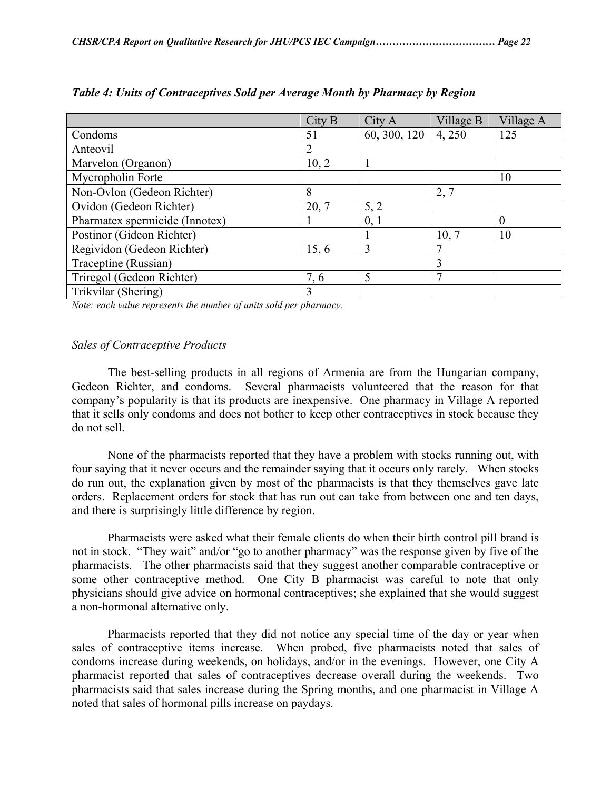|                                | City B         | City A       | Village B | Village A |
|--------------------------------|----------------|--------------|-----------|-----------|
| Condoms                        | 51             | 60, 300, 120 | 4,250     | 125       |
| Anteovil                       | $\overline{2}$ |              |           |           |
| Marvelon (Organon)             | 10, 2          |              |           |           |
| Mycropholin Forte              |                |              |           | 10        |
| Non-Ovlon (Gedeon Richter)     | 8              |              | 2, 7      |           |
| Ovidon (Gedeon Richter)        | 20, 7          | 5, 2         |           |           |
| Pharmatex spermicide (Innotex) |                | 0, 1         |           | $\theta$  |
| Postinor (Gideon Richter)      |                |              | 10, 7     | 10        |
| Regividon (Gedeon Richter)     | 15, 6          | 3            | 7         |           |
| Traceptine (Russian)           |                |              | 3         |           |
| Triregol (Gedeon Richter)      | 7,6            | 5            | 7         |           |
| Trikvilar (Shering)            | 3              |              |           |           |

*Table 4: Units of Contraceptives Sold per Average Month by Pharmacy by Region* 

*Note: each value represents the number of units sold per pharmacy.* 

#### *Sales of Contraceptive Products*

 The best-selling products in all regions of Armenia are from the Hungarian company, Gedeon Richter, and condoms. Several pharmacists volunteered that the reason for that company's popularity is that its products are inexpensive. One pharmacy in Village A reported that it sells only condoms and does not bother to keep other contraceptives in stock because they do not sell.

 None of the pharmacists reported that they have a problem with stocks running out, with four saying that it never occurs and the remainder saying that it occurs only rarely. When stocks do run out, the explanation given by most of the pharmacists is that they themselves gave late orders. Replacement orders for stock that has run out can take from between one and ten days, and there is surprisingly little difference by region.

 Pharmacists were asked what their female clients do when their birth control pill brand is not in stock. "They wait" and/or "go to another pharmacy" was the response given by five of the pharmacists. The other pharmacists said that they suggest another comparable contraceptive or some other contraceptive method. One City B pharmacist was careful to note that only physicians should give advice on hormonal contraceptives; she explained that she would suggest a non-hormonal alternative only.

Pharmacists reported that they did not notice any special time of the day or year when sales of contraceptive items increase. When probed, five pharmacists noted that sales of condoms increase during weekends, on holidays, and/or in the evenings. However, one City A pharmacist reported that sales of contraceptives decrease overall during the weekends. Two pharmacists said that sales increase during the Spring months, and one pharmacist in Village A noted that sales of hormonal pills increase on paydays.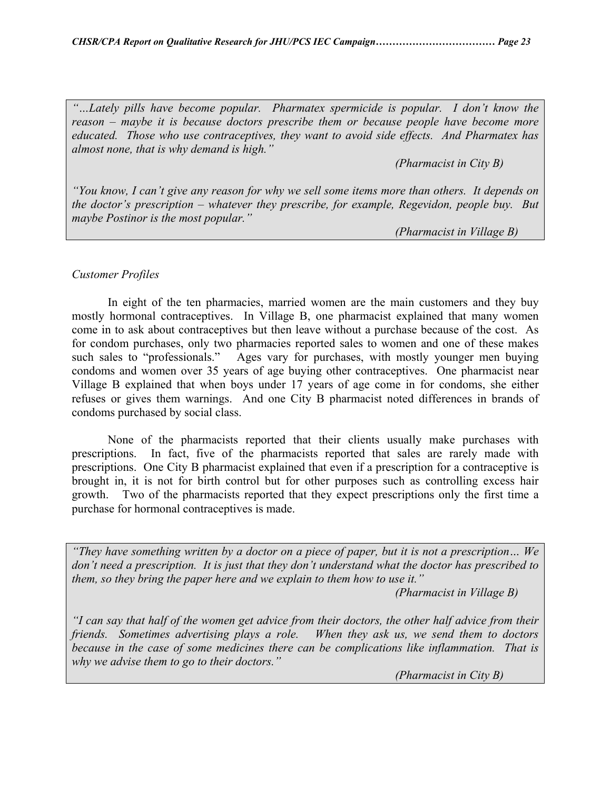*"…Lately pills have become popular. Pharmatex spermicide is popular. I don't know the reason – maybe it is because doctors prescribe them or because people have become more educated. Those who use contraceptives, they want to avoid side effects. And Pharmatex has almost none, that is why demand is high."* 

 *(Pharmacist in City B)* 

*"You know, I can't give any reason for why we sell some items more than others. It depends on the doctor's prescription – whatever they prescribe, for example, Regevidon, people buy. But maybe Postinor is the most popular."* 

 *(Pharmacist in Village B)* 

#### *Customer Profiles*

 In eight of the ten pharmacies, married women are the main customers and they buy mostly hormonal contraceptives. In Village B, one pharmacist explained that many women come in to ask about contraceptives but then leave without a purchase because of the cost. As for condom purchases, only two pharmacies reported sales to women and one of these makes such sales to "professionals." Ages vary for purchases, with mostly younger men buying condoms and women over 35 years of age buying other contraceptives. One pharmacist near Village B explained that when boys under 17 years of age come in for condoms, she either refuses or gives them warnings. And one City B pharmacist noted differences in brands of condoms purchased by social class.

 None of the pharmacists reported that their clients usually make purchases with prescriptions. In fact, five of the pharmacists reported that sales are rarely made with prescriptions. One City B pharmacist explained that even if a prescription for a contraceptive is brought in, it is not for birth control but for other purposes such as controlling excess hair growth. Two of the pharmacists reported that they expect prescriptions only the first time a purchase for hormonal contraceptives is made.

*"They have something written by a doctor on a piece of paper, but it is not a prescription… We don't need a prescription. It is just that they don't understand what the doctor has prescribed to them, so they bring the paper here and we explain to them how to use it."* 

 *(Pharmacist in Village B)* 

*"I can say that half of the women get advice from their doctors, the other half advice from their friends. Sometimes advertising plays a role. When they ask us, we send them to doctors because in the case of some medicines there can be complications like inflammation. That is why we advise them to go to their doctors."* 

 *(Pharmacist in City B)*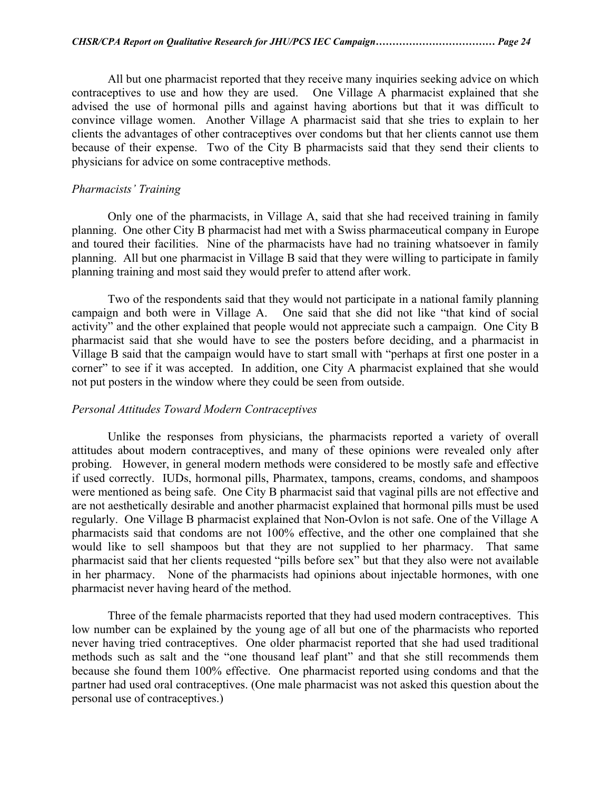All but one pharmacist reported that they receive many inquiries seeking advice on which contraceptives to use and how they are used. One Village A pharmacist explained that she advised the use of hormonal pills and against having abortions but that it was difficult to convince village women. Another Village A pharmacist said that she tries to explain to her clients the advantages of other contraceptives over condoms but that her clients cannot use them because of their expense. Two of the City B pharmacists said that they send their clients to physicians for advice on some contraceptive methods.

### *Pharmacists' Training*

 Only one of the pharmacists, in Village A, said that she had received training in family planning. One other City B pharmacist had met with a Swiss pharmaceutical company in Europe and toured their facilities. Nine of the pharmacists have had no training whatsoever in family planning. All but one pharmacist in Village B said that they were willing to participate in family planning training and most said they would prefer to attend after work.

 Two of the respondents said that they would not participate in a national family planning campaign and both were in Village A. One said that she did not like "that kind of social activity" and the other explained that people would not appreciate such a campaign. One City B pharmacist said that she would have to see the posters before deciding, and a pharmacist in Village B said that the campaign would have to start small with "perhaps at first one poster in a corner" to see if it was accepted. In addition, one City A pharmacist explained that she would not put posters in the window where they could be seen from outside.

#### *Personal Attitudes Toward Modern Contraceptives*

 Unlike the responses from physicians, the pharmacists reported a variety of overall attitudes about modern contraceptives, and many of these opinions were revealed only after probing. However, in general modern methods were considered to be mostly safe and effective if used correctly. IUDs, hormonal pills, Pharmatex, tampons, creams, condoms, and shampoos were mentioned as being safe. One City B pharmacist said that vaginal pills are not effective and are not aesthetically desirable and another pharmacist explained that hormonal pills must be used regularly. One Village B pharmacist explained that Non-Ovlon is not safe. One of the Village A pharmacists said that condoms are not 100% effective, and the other one complained that she would like to sell shampoos but that they are not supplied to her pharmacy. That same pharmacist said that her clients requested "pills before sex" but that they also were not available in her pharmacy. None of the pharmacists had opinions about injectable hormones, with one pharmacist never having heard of the method.

 Three of the female pharmacists reported that they had used modern contraceptives. This low number can be explained by the young age of all but one of the pharmacists who reported never having tried contraceptives. One older pharmacist reported that she had used traditional methods such as salt and the "one thousand leaf plant" and that she still recommends them because she found them 100% effective. One pharmacist reported using condoms and that the partner had used oral contraceptives. (One male pharmacist was not asked this question about the personal use of contraceptives.)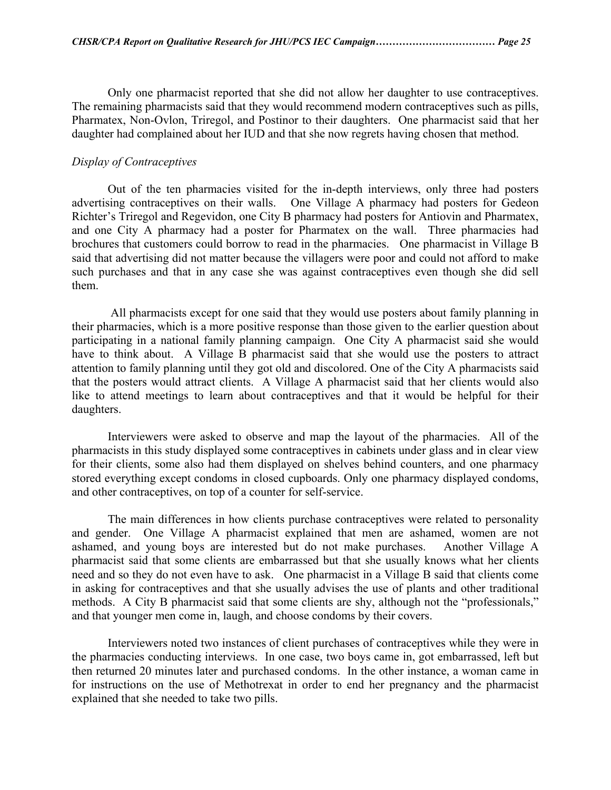Only one pharmacist reported that she did not allow her daughter to use contraceptives. The remaining pharmacists said that they would recommend modern contraceptives such as pills, Pharmatex, Non-Ovlon, Triregol, and Postinor to their daughters. One pharmacist said that her daughter had complained about her IUD and that she now regrets having chosen that method.

## *Display of Contraceptives*

 Out of the ten pharmacies visited for the in-depth interviews, only three had posters advertising contraceptives on their walls. One Village A pharmacy had posters for Gedeon Richter's Triregol and Regevidon, one City B pharmacy had posters for Antiovin and Pharmatex, and one City A pharmacy had a poster for Pharmatex on the wall. Three pharmacies had brochures that customers could borrow to read in the pharmacies. One pharmacist in Village B said that advertising did not matter because the villagers were poor and could not afford to make such purchases and that in any case she was against contraceptives even though she did sell them.

 All pharmacists except for one said that they would use posters about family planning in their pharmacies, which is a more positive response than those given to the earlier question about participating in a national family planning campaign. One City A pharmacist said she would have to think about. A Village B pharmacist said that she would use the posters to attract attention to family planning until they got old and discolored. One of the City A pharmacists said that the posters would attract clients. A Village A pharmacist said that her clients would also like to attend meetings to learn about contraceptives and that it would be helpful for their daughters.

 Interviewers were asked to observe and map the layout of the pharmacies. All of the pharmacists in this study displayed some contraceptives in cabinets under glass and in clear view for their clients, some also had them displayed on shelves behind counters, and one pharmacy stored everything except condoms in closed cupboards. Only one pharmacy displayed condoms, and other contraceptives, on top of a counter for self-service.

 The main differences in how clients purchase contraceptives were related to personality and gender. One Village A pharmacist explained that men are ashamed, women are not ashamed, and young boys are interested but do not make purchases. Another Village A pharmacist said that some clients are embarrassed but that she usually knows what her clients need and so they do not even have to ask. One pharmacist in a Village B said that clients come in asking for contraceptives and that she usually advises the use of plants and other traditional methods. A City B pharmacist said that some clients are shy, although not the "professionals," and that younger men come in, laugh, and choose condoms by their covers.

 Interviewers noted two instances of client purchases of contraceptives while they were in the pharmacies conducting interviews. In one case, two boys came in, got embarrassed, left but then returned 20 minutes later and purchased condoms. In the other instance, a woman came in for instructions on the use of Methotrexat in order to end her pregnancy and the pharmacist explained that she needed to take two pills.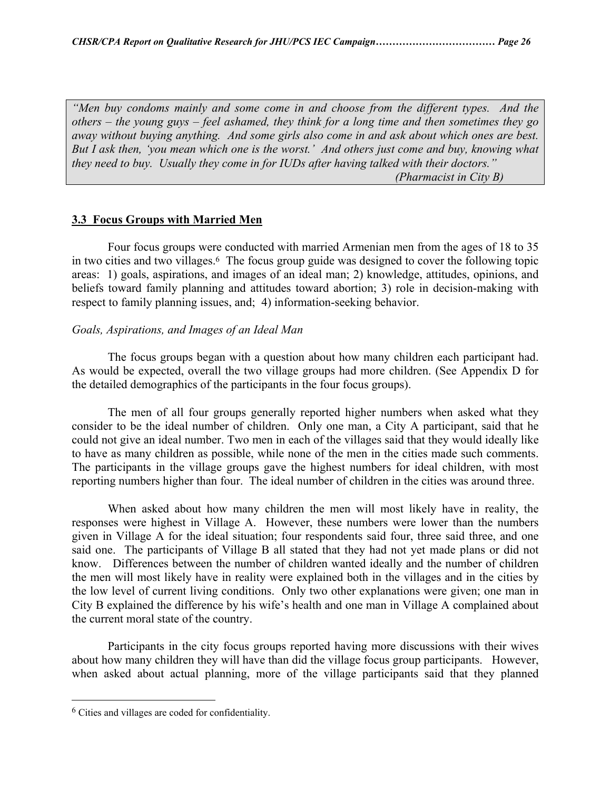*"Men buy condoms mainly and some come in and choose from the different types. And the others – the young guys – feel ashamed, they think for a long time and then sometimes they go away without buying anything. And some girls also come in and ask about which ones are best. But I ask then, 'you mean which one is the worst.' And others just come and buy, knowing what they need to buy. Usually they come in for IUDs after having talked with their doctors." (Pharmacist in City B)* 

#### **3.3 Focus Groups with Married Men**

Four focus groups were conducted with married Armenian men from the ages of 18 to 35 in two cities and two villages[.6](#page-25-0) The focus group guide was designed to cover the following topic areas: 1) goals, aspirations, and images of an ideal man; 2) knowledge, attitudes, opinions, and beliefs toward family planning and attitudes toward abortion; 3) role in decision-making with respect to family planning issues, and; 4) information-seeking behavior.

#### *Goals, Aspirations, and Images of an Ideal Man*

 The focus groups began with a question about how many children each participant had. As would be expected, overall the two village groups had more children. (See Appendix D for the detailed demographics of the participants in the four focus groups).

 The men of all four groups generally reported higher numbers when asked what they consider to be the ideal number of children. Only one man, a City A participant, said that he could not give an ideal number. Two men in each of the villages said that they would ideally like to have as many children as possible, while none of the men in the cities made such comments. The participants in the village groups gave the highest numbers for ideal children, with most reporting numbers higher than four. The ideal number of children in the cities was around three.

 When asked about how many children the men will most likely have in reality, the responses were highest in Village A. However, these numbers were lower than the numbers given in Village A for the ideal situation; four respondents said four, three said three, and one said one. The participants of Village B all stated that they had not yet made plans or did not know. Differences between the number of children wanted ideally and the number of children the men will most likely have in reality were explained both in the villages and in the cities by the low level of current living conditions. Only two other explanations were given; one man in City B explained the difference by his wife's health and one man in Village A complained about the current moral state of the country.

 Participants in the city focus groups reported having more discussions with their wives about how many children they will have than did the village focus group participants. However, when asked about actual planning, more of the village participants said that they planned

<u>.</u>

<span id="page-25-0"></span><sup>6</sup> Cities and villages are coded for confidentiality.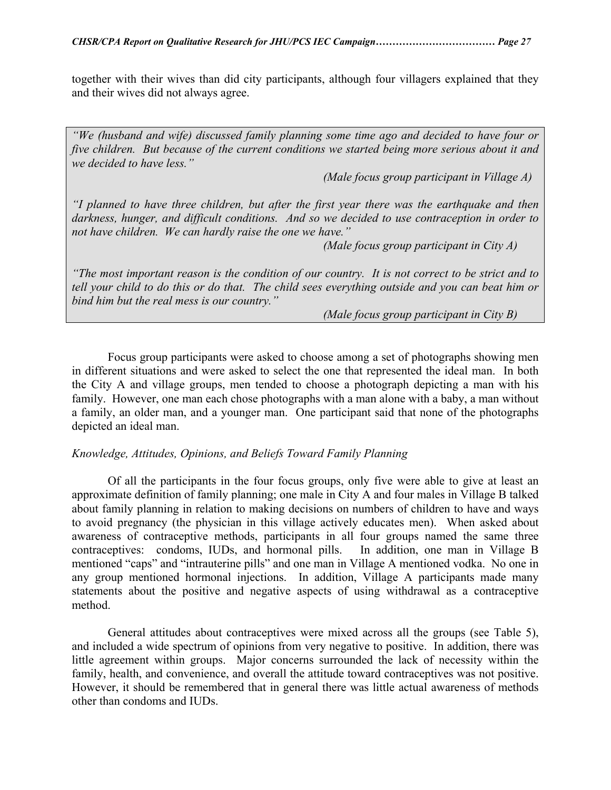together with their wives than did city participants, although four villagers explained that they and their wives did not always agree.

*"We (husband and wife) discussed family planning some time ago and decided to have four or five children. But because of the current conditions we started being more serious about it and we decided to have less."* 

 *(Male focus group participant in Village A)* 

*"I planned to have three children, but after the first year there was the earthquake and then darkness, hunger, and difficult conditions. And so we decided to use contraception in order to not have children. We can hardly raise the one we have."* 

 *(Male focus group participant in City A)* 

*"The most important reason is the condition of our country. It is not correct to be strict and to tell your child to do this or do that. The child sees everything outside and you can beat him or bind him but the real mess is our country."* 

 *(Male focus group participant in City B)* 

 Focus group participants were asked to choose among a set of photographs showing men in different situations and were asked to select the one that represented the ideal man. In both the City A and village groups, men tended to choose a photograph depicting a man with his family. However, one man each chose photographs with a man alone with a baby, a man without a family, an older man, and a younger man. One participant said that none of the photographs depicted an ideal man.

#### *Knowledge, Attitudes, Opinions, and Beliefs Toward Family Planning*

 Of all the participants in the four focus groups, only five were able to give at least an approximate definition of family planning; one male in City A and four males in Village B talked about family planning in relation to making decisions on numbers of children to have and ways to avoid pregnancy (the physician in this village actively educates men). When asked about awareness of contraceptive methods, participants in all four groups named the same three contraceptives: condoms, IUDs, and hormonal pills. In addition, one man in Village B mentioned "caps" and "intrauterine pills" and one man in Village A mentioned vodka. No one in any group mentioned hormonal injections. In addition, Village A participants made many statements about the positive and negative aspects of using withdrawal as a contraceptive method.

 General attitudes about contraceptives were mixed across all the groups (see Table 5), and included a wide spectrum of opinions from very negative to positive. In addition, there was little agreement within groups. Major concerns surrounded the lack of necessity within the family, health, and convenience, and overall the attitude toward contraceptives was not positive. However, it should be remembered that in general there was little actual awareness of methods other than condoms and IUDs.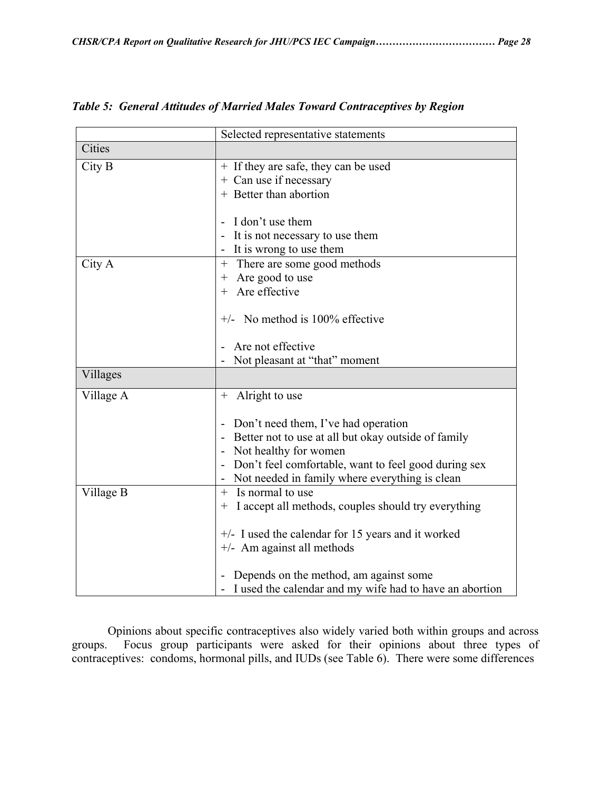|           | Selected representative statements                          |
|-----------|-------------------------------------------------------------|
| Cities    |                                                             |
| City B    | + If they are safe, they can be used                        |
|           | + Can use if necessary                                      |
|           | + Better than abortion                                      |
|           |                                                             |
|           | I don't use them                                            |
|           | It is not necessary to use them                             |
|           | - It is wrong to use them                                   |
| City A    | There are some good methods<br>$^{+}$                       |
|           | Are good to use<br>$^{+}$                                   |
|           | + Are effective                                             |
|           |                                                             |
|           | $+/-$ No method is 100% effective                           |
|           | Are not effective                                           |
|           | Not pleasant at "that" moment                               |
| Villages  |                                                             |
|           |                                                             |
| Village A | + Alright to use                                            |
|           |                                                             |
|           | Don't need them, I've had operation                         |
|           | Better not to use at all but okay outside of family         |
|           | - Not healthy for women                                     |
|           | Don't feel comfortable, want to feel good during sex        |
|           | Not needed in family where everything is clean              |
| Village B | Is normal to use<br>$^{+}$                                  |
|           | I accept all methods, couples should try everything<br>$^+$ |
|           | $+/-$ I used the calendar for 15 years and it worked        |
|           | $+/-$ Am against all methods                                |
|           |                                                             |
|           | Depends on the method, am against some                      |
|           | I used the calendar and my wife had to have an abortion     |

*Table 5: General Attitudes of Married Males Toward Contraceptives by Region* 

Opinions about specific contraceptives also widely varied both within groups and across groups. Focus group participants were asked for their opinions about three types of contraceptives: condoms, hormonal pills, and IUDs (see Table 6). There were some differences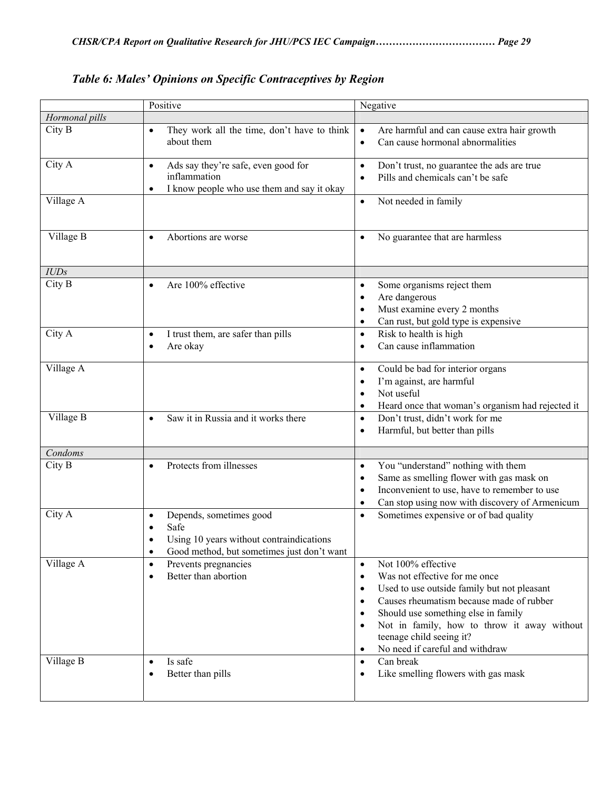|                | Positive                                                                                                                                            | Negative                                                                                                                                                                                                                                                                                                                                                                               |
|----------------|-----------------------------------------------------------------------------------------------------------------------------------------------------|----------------------------------------------------------------------------------------------------------------------------------------------------------------------------------------------------------------------------------------------------------------------------------------------------------------------------------------------------------------------------------------|
| Hormonal pills |                                                                                                                                                     |                                                                                                                                                                                                                                                                                                                                                                                        |
| City B         | They work all the time, don't have to think<br>$\bullet$<br>about them                                                                              | Are harmful and can cause extra hair growth<br>$\bullet$<br>Can cause hormonal abnormalities<br>$\bullet$                                                                                                                                                                                                                                                                              |
| City A         | Ads say they're safe, even good for<br>$\bullet$<br>inflammation<br>I know people who use them and say it okay<br>٠                                 | Don't trust, no guarantee the ads are true<br>$\bullet$<br>Pills and chemicals can't be safe<br>$\bullet$                                                                                                                                                                                                                                                                              |
| Village A      |                                                                                                                                                     | Not needed in family<br>$\bullet$                                                                                                                                                                                                                                                                                                                                                      |
| Village B      | Abortions are worse<br>$\bullet$                                                                                                                    | No guarantee that are harmless<br>$\bullet$                                                                                                                                                                                                                                                                                                                                            |
| IUDs           |                                                                                                                                                     |                                                                                                                                                                                                                                                                                                                                                                                        |
| City B         | Are 100% effective<br>$\bullet$                                                                                                                     | Some organisms reject them<br>$\bullet$<br>Are dangerous<br>$\bullet$<br>Must examine every 2 months<br>$\bullet$<br>Can rust, but gold type is expensive<br>$\bullet$                                                                                                                                                                                                                 |
| City A         | I trust them, are safer than pills<br>$\bullet$<br>Are okay<br>$\bullet$                                                                            | Risk to health is high<br>$\bullet$<br>Can cause inflammation<br>$\bullet$                                                                                                                                                                                                                                                                                                             |
| Village A      |                                                                                                                                                     | Could be bad for interior organs<br>$\bullet$<br>I'm against, are harmful<br>$\bullet$<br>Not useful<br>$\bullet$<br>Heard once that woman's organism had rejected it<br>$\bullet$                                                                                                                                                                                                     |
| Village B      | Saw it in Russia and it works there<br>$\bullet$                                                                                                    | Don't trust, didn't work for me<br>$\bullet$<br>Harmful, but better than pills<br>$\bullet$                                                                                                                                                                                                                                                                                            |
| Condoms        |                                                                                                                                                     |                                                                                                                                                                                                                                                                                                                                                                                        |
| City B         | Protects from illnesses<br>$\bullet$                                                                                                                | You "understand" nothing with them<br>$\bullet$<br>Same as smelling flower with gas mask on<br>$\bullet$<br>Inconvenient to use, have to remember to use<br>$\bullet$<br>Can stop using now with discovery of Armenicum<br>$\bullet$                                                                                                                                                   |
| City A         | Depends, sometimes good<br>$\bullet$<br>Safe<br>Using 10 years without contraindications<br>Good method, but sometimes just don't want<br>$\bullet$ | Sometimes expensive or of bad quality<br>$\bullet$                                                                                                                                                                                                                                                                                                                                     |
| Village A      | Prevents pregnancies<br>$\bullet$<br>Better than abortion<br>$\bullet$                                                                              | Not 100% effective<br>$\bullet$<br>Was not effective for me once<br>$\bullet$<br>Used to use outside family but not pleasant<br>٠<br>Causes rheumatism because made of rubber<br>$\bullet$<br>Should use something else in family<br>$\bullet$<br>Not in family, how to throw it away without<br>$\bullet$<br>teenage child seeing it?<br>No need if careful and withdraw<br>$\bullet$ |
| Village B      | Is safe<br>$\bullet$<br>Better than pills<br>٠                                                                                                      | Can break<br>$\bullet$<br>Like smelling flowers with gas mask<br>$\bullet$                                                                                                                                                                                                                                                                                                             |

*Table 6: Males' Opinions on Specific Contraceptives by Region*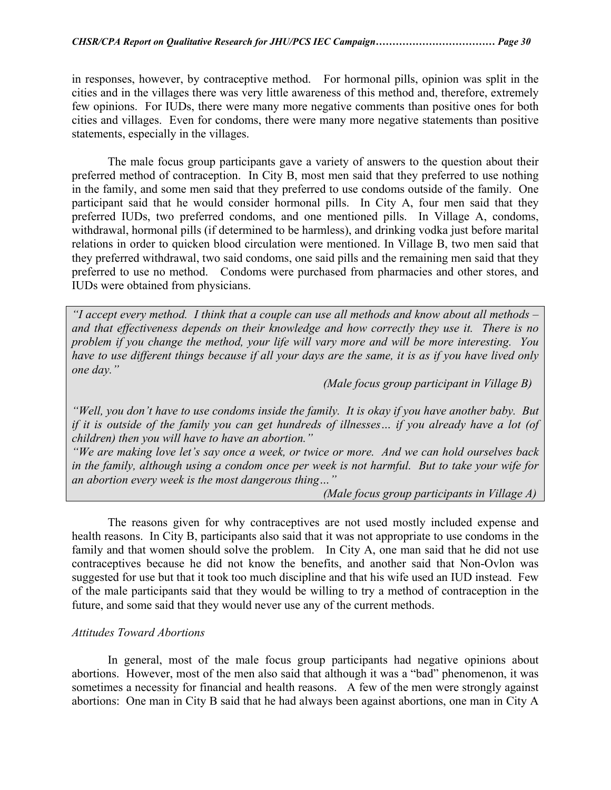in responses, however, by contraceptive method. For hormonal pills, opinion was split in the cities and in the villages there was very little awareness of this method and, therefore, extremely few opinions. For IUDs, there were many more negative comments than positive ones for both cities and villages. Even for condoms, there were many more negative statements than positive statements, especially in the villages.

The male focus group participants gave a variety of answers to the question about their preferred method of contraception. In City B, most men said that they preferred to use nothing in the family, and some men said that they preferred to use condoms outside of the family. One participant said that he would consider hormonal pills. In City A, four men said that they preferred IUDs, two preferred condoms, and one mentioned pills. In Village A, condoms, withdrawal, hormonal pills (if determined to be harmless), and drinking vodka just before marital relations in order to quicken blood circulation were mentioned. In Village B, two men said that they preferred withdrawal, two said condoms, one said pills and the remaining men said that they preferred to use no method. Condoms were purchased from pharmacies and other stores, and IUDs were obtained from physicians.

*"I accept every method. I think that a couple can use all methods and know about all methods – and that effectiveness depends on their knowledge and how correctly they use it. There is no problem if you change the method, your life will vary more and will be more interesting. You have to use different things because if all your days are the same, it is as if you have lived only one day."* 

 *(Male focus group participant in Village B)* 

*"Well, you don't have to use condoms inside the family. It is okay if you have another baby. But if it is outside of the family you can get hundreds of illnesses… if you already have a lot (of children) then you will have to have an abortion."* 

*"We are making love let's say once a week, or twice or more. And we can hold ourselves back in the family, although using a condom once per week is not harmful. But to take your wife for an abortion every week is the most dangerous thing…"* 

 *(Male focus group participants in Village A)* 

 The reasons given for why contraceptives are not used mostly included expense and health reasons. In City B, participants also said that it was not appropriate to use condoms in the family and that women should solve the problem. In City A, one man said that he did not use contraceptives because he did not know the benefits, and another said that Non-Ovlon was suggested for use but that it took too much discipline and that his wife used an IUD instead. Few of the male participants said that they would be willing to try a method of contraception in the future, and some said that they would never use any of the current methods.

#### *Attitudes Toward Abortions*

 In general, most of the male focus group participants had negative opinions about abortions. However, most of the men also said that although it was a "bad" phenomenon, it was sometimes a necessity for financial and health reasons. A few of the men were strongly against abortions: One man in City B said that he had always been against abortions, one man in City A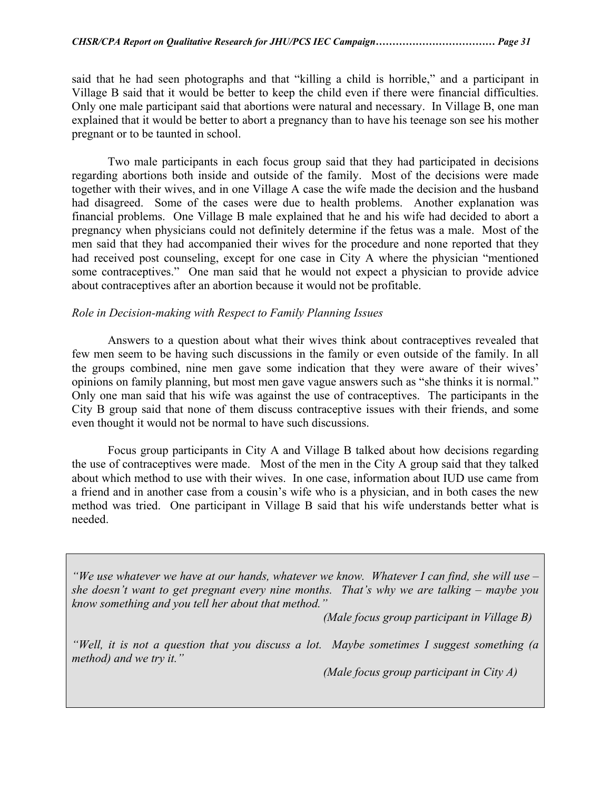said that he had seen photographs and that "killing a child is horrible," and a participant in Village B said that it would be better to keep the child even if there were financial difficulties. Only one male participant said that abortions were natural and necessary. In Village B, one man explained that it would be better to abort a pregnancy than to have his teenage son see his mother pregnant or to be taunted in school.

 Two male participants in each focus group said that they had participated in decisions regarding abortions both inside and outside of the family. Most of the decisions were made together with their wives, and in one Village A case the wife made the decision and the husband had disagreed. Some of the cases were due to health problems. Another explanation was financial problems. One Village B male explained that he and his wife had decided to abort a pregnancy when physicians could not definitely determine if the fetus was a male. Most of the men said that they had accompanied their wives for the procedure and none reported that they had received post counseling, except for one case in City A where the physician "mentioned some contraceptives." One man said that he would not expect a physician to provide advice about contraceptives after an abortion because it would not be profitable.

#### *Role in Decision-making with Respect to Family Planning Issues*

 Answers to a question about what their wives think about contraceptives revealed that few men seem to be having such discussions in the family or even outside of the family. In all the groups combined, nine men gave some indication that they were aware of their wives' opinions on family planning, but most men gave vague answers such as "she thinks it is normal." Only one man said that his wife was against the use of contraceptives. The participants in the City B group said that none of them discuss contraceptive issues with their friends, and some even thought it would not be normal to have such discussions.

 Focus group participants in City A and Village B talked about how decisions regarding the use of contraceptives were made. Most of the men in the City A group said that they talked about which method to use with their wives. In one case, information about IUD use came from a friend and in another case from a cousin's wife who is a physician, and in both cases the new method was tried. One participant in Village B said that his wife understands better what is needed.

*"We use whatever we have at our hands, whatever we know. Whatever I can find, she will use – she doesn't want to get pregnant every nine months. That's why we are talking – maybe you know something and you tell her about that method."* 

 *(Male focus group participant in Village B)* 

*"Well, it is not a question that you discuss a lot. Maybe sometimes I suggest something (a method) and we try it."* 

 *(Male focus group participant in City A)*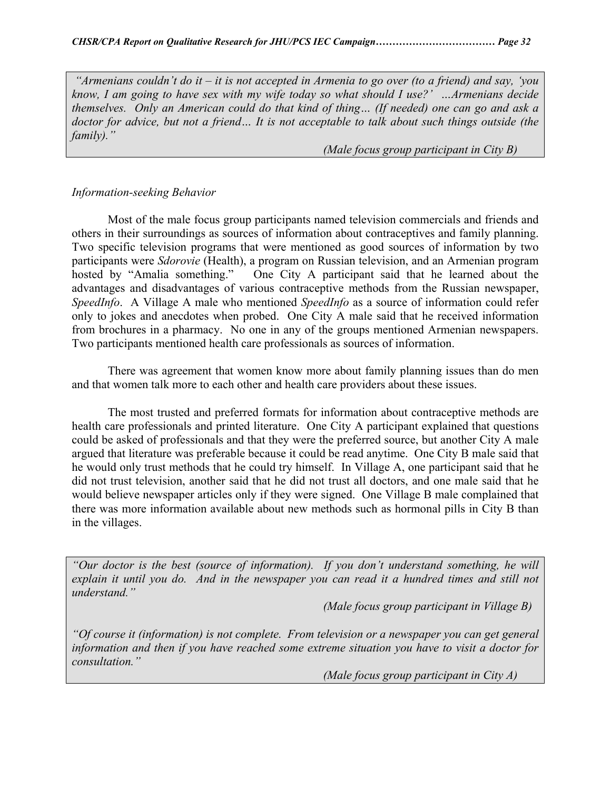*"Armenians couldn't do it – it is not accepted in Armenia to go over (to a friend) and say, 'you know, I am going to have sex with my wife today so what should I use?' …Armenians decide themselves. Only an American could do that kind of thing… (If needed) one can go and ask a doctor for advice, but not a friend… It is not acceptable to talk about such things outside (the family)."* 

 *(Male focus group participant in City B)* 

## *Information-seeking Behavior*

 Most of the male focus group participants named television commercials and friends and others in their surroundings as sources of information about contraceptives and family planning. Two specific television programs that were mentioned as good sources of information by two participants were *Sdorovie* (Health), a program on Russian television, and an Armenian program hosted by "Amalia something." One City A participant said that he learned about the advantages and disadvantages of various contraceptive methods from the Russian newspaper, *SpeedInfo*. A Village A male who mentioned *SpeedInfo* as a source of information could refer only to jokes and anecdotes when probed. One City A male said that he received information from brochures in a pharmacy. No one in any of the groups mentioned Armenian newspapers. Two participants mentioned health care professionals as sources of information.

 There was agreement that women know more about family planning issues than do men and that women talk more to each other and health care providers about these issues.

 The most trusted and preferred formats for information about contraceptive methods are health care professionals and printed literature. One City A participant explained that questions could be asked of professionals and that they were the preferred source, but another City A male argued that literature was preferable because it could be read anytime. One City B male said that he would only trust methods that he could try himself. In Village A, one participant said that he did not trust television, another said that he did not trust all doctors, and one male said that he would believe newspaper articles only if they were signed. One Village B male complained that there was more information available about new methods such as hormonal pills in City B than in the villages.

*"Our doctor is the best (source of information). If you don't understand something, he will explain it until you do. And in the newspaper you can read it a hundred times and still not understand."* 

 *(Male focus group participant in Village B)* 

*"Of course it (information) is not complete. From television or a newspaper you can get general information and then if you have reached some extreme situation you have to visit a doctor for consultation."* 

 *(Male focus group participant in City A)*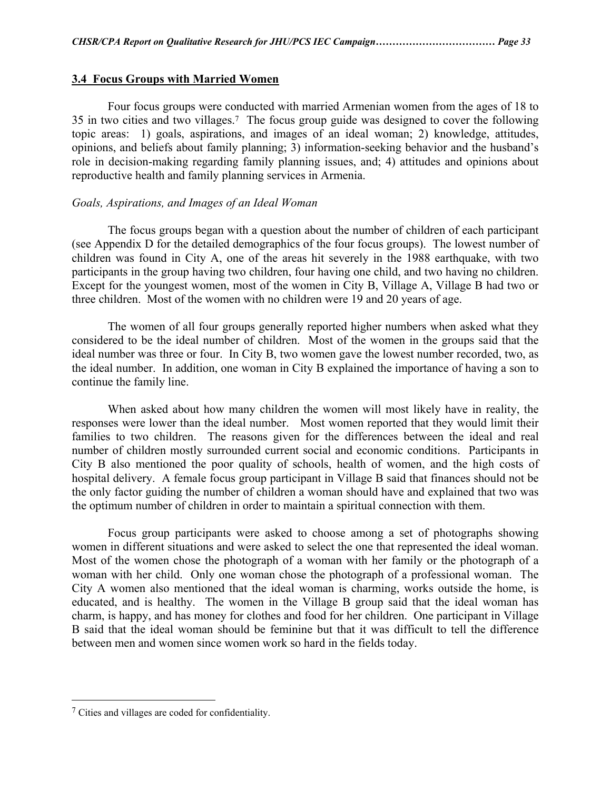#### **3.4 Focus Groups with Married Women**

Four focus groups were conducted with married Armenian women from the ages of 18 to 35 in two cities and two villages.[7](#page-32-0) The focus group guide was designed to cover the following topic areas: 1) goals, aspirations, and images of an ideal woman; 2) knowledge, attitudes, opinions, and beliefs about family planning; 3) information-seeking behavior and the husband's role in decision-making regarding family planning issues, and; 4) attitudes and opinions about reproductive health and family planning services in Armenia.

#### *Goals, Aspirations, and Images of an Ideal Woman*

 The focus groups began with a question about the number of children of each participant (see Appendix D for the detailed demographics of the four focus groups). The lowest number of children was found in City A, one of the areas hit severely in the 1988 earthquake, with two participants in the group having two children, four having one child, and two having no children. Except for the youngest women, most of the women in City B, Village A, Village B had two or three children. Most of the women with no children were 19 and 20 years of age.

 The women of all four groups generally reported higher numbers when asked what they considered to be the ideal number of children. Most of the women in the groups said that the ideal number was three or four. In City B, two women gave the lowest number recorded, two, as the ideal number. In addition, one woman in City B explained the importance of having a son to continue the family line.

 When asked about how many children the women will most likely have in reality, the responses were lower than the ideal number. Most women reported that they would limit their families to two children. The reasons given for the differences between the ideal and real number of children mostly surrounded current social and economic conditions. Participants in City B also mentioned the poor quality of schools, health of women, and the high costs of hospital delivery. A female focus group participant in Village B said that finances should not be the only factor guiding the number of children a woman should have and explained that two was the optimum number of children in order to maintain a spiritual connection with them.

Focus group participants were asked to choose among a set of photographs showing women in different situations and were asked to select the one that represented the ideal woman. Most of the women chose the photograph of a woman with her family or the photograph of a woman with her child. Only one woman chose the photograph of a professional woman. The City A women also mentioned that the ideal woman is charming, works outside the home, is educated, and is healthy. The women in the Village B group said that the ideal woman has charm, is happy, and has money for clothes and food for her children. One participant in Village B said that the ideal woman should be feminine but that it was difficult to tell the difference between men and women since women work so hard in the fields today.

 $\overline{a}$ 

<span id="page-32-0"></span><sup>7</sup> Cities and villages are coded for confidentiality.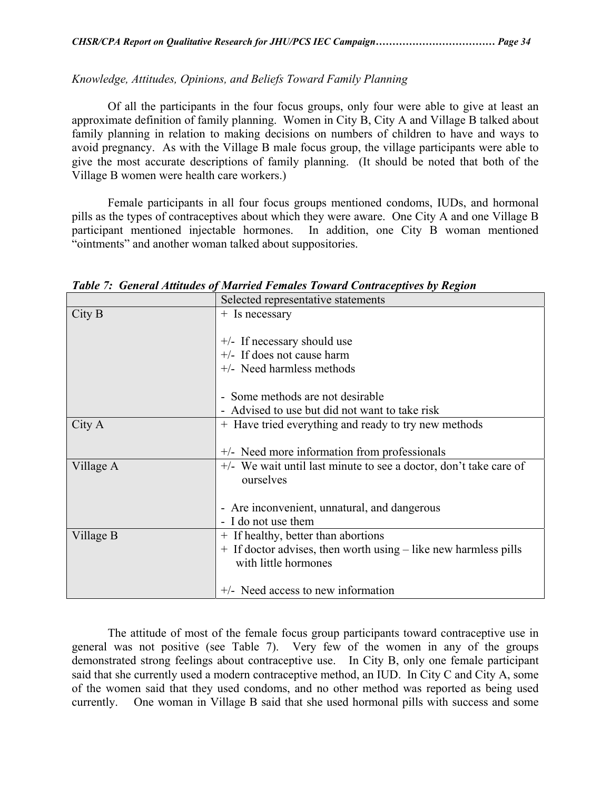### *Knowledge, Attitudes, Opinions, and Beliefs Toward Family Planning*

 Of all the participants in the four focus groups, only four were able to give at least an approximate definition of family planning. Women in City B, City A and Village B talked about family planning in relation to making decisions on numbers of children to have and ways to avoid pregnancy. As with the Village B male focus group, the village participants were able to give the most accurate descriptions of family planning. (It should be noted that both of the Village B women were health care workers.)

 Female participants in all four focus groups mentioned condoms, IUDs, and hormonal pills as the types of contraceptives about which they were aware. One City A and one Village B participant mentioned injectable hormones. In addition, one City B woman mentioned "ointments" and another woman talked about suppositories.

|           | Selected representative statements                                  |  |  |
|-----------|---------------------------------------------------------------------|--|--|
| City B    | $+$ Is necessary                                                    |  |  |
|           |                                                                     |  |  |
|           | $+/-$ If necessary should use                                       |  |  |
|           | $+/-$ If does not cause harm                                        |  |  |
|           | $+/-$ Need harmless methods                                         |  |  |
|           |                                                                     |  |  |
|           | - Some methods are not desirable                                    |  |  |
|           | Advised to use but did not want to take risk                        |  |  |
| City A    | + Have tried everything and ready to try new methods                |  |  |
|           |                                                                     |  |  |
|           | +/- Need more information from professionals                        |  |  |
| Village A | $+/-$ We wait until last minute to see a doctor, don't take care of |  |  |
|           | ourselves                                                           |  |  |
|           |                                                                     |  |  |
|           | - Are inconvenient, unnatural, and dangerous                        |  |  |
|           | - I do not use them                                                 |  |  |
| Village B | + If healthy, better than abortions                                 |  |  |
|           | + If doctor advises, then worth using – like new harmless pills     |  |  |
|           | with little hormones                                                |  |  |
|           |                                                                     |  |  |
|           | +/- Need access to new information                                  |  |  |

*Table 7: General Attitudes of Married Females Toward Contraceptives by Region* 

The attitude of most of the female focus group participants toward contraceptive use in general was not positive (see Table 7). Very few of the women in any of the groups demonstrated strong feelings about contraceptive use. In City B, only one female participant said that she currently used a modern contraceptive method, an IUD. In City C and City A, some of the women said that they used condoms, and no other method was reported as being used currently. One woman in Village B said that she used hormonal pills with success and some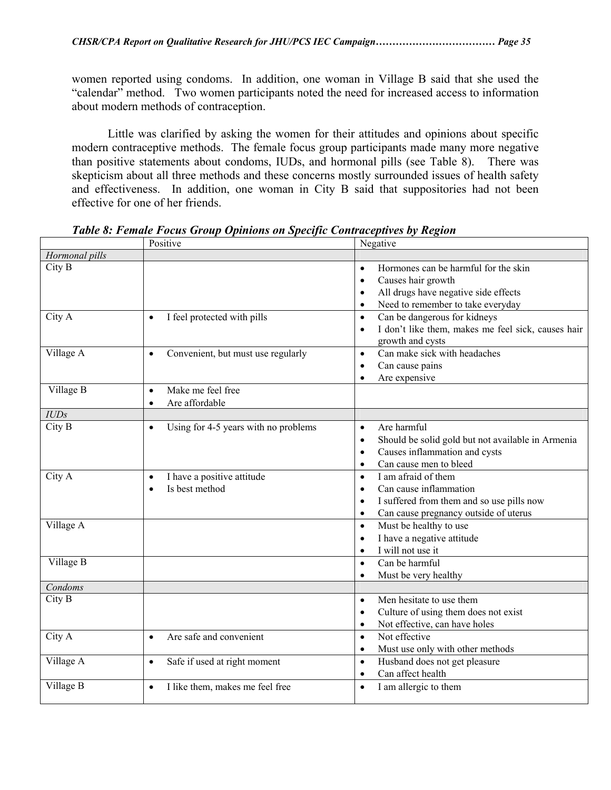women reported using condoms. In addition, one woman in Village B said that she used the "calendar" method. Two women participants noted the need for increased access to information about modern methods of contraception.

Little was clarified by asking the women for their attitudes and opinions about specific modern contraceptive methods. The female focus group participants made many more negative than positive statements about condoms, IUDs, and hormonal pills (see Table 8). There was skepticism about all three methods and these concerns mostly surrounded issues of health safety and effectiveness. In addition, one woman in City B said that suppositories had not been effective for one of her friends.

|                | Positive                                                      | Negative                                                                                                                                                                                    |
|----------------|---------------------------------------------------------------|---------------------------------------------------------------------------------------------------------------------------------------------------------------------------------------------|
| Hormonal pills |                                                               |                                                                                                                                                                                             |
| City B         |                                                               | Hormones can be harmful for the skin<br>$\bullet$<br>Causes hair growth<br>$\bullet$<br>All drugs have negative side effects<br>$\bullet$<br>Need to remember to take everyday<br>$\bullet$ |
| City A         | I feel protected with pills<br>$\bullet$                      | Can be dangerous for kidneys<br>$\bullet$<br>I don't like them, makes me feel sick, causes hair<br>$\bullet$<br>growth and cysts                                                            |
| Village A      | Convenient, but must use regularly<br>$\bullet$               | Can make sick with headaches<br>$\bullet$<br>Can cause pains<br>$\bullet$<br>Are expensive<br>$\bullet$                                                                                     |
| Village B      | Make me feel free<br>$\bullet$<br>Are affordable<br>$\bullet$ |                                                                                                                                                                                             |
| <b>IUDs</b>    |                                                               |                                                                                                                                                                                             |
| City B         | Using for 4-5 years with no problems<br>$\bullet$             | Are harmful<br>$\bullet$<br>Should be solid gold but not available in Armenia<br>$\bullet$<br>Causes inflammation and cysts<br>$\bullet$<br>Can cause men to bleed<br>$\bullet$             |
| City A         | I have a positive attitude<br>$\bullet$<br>Is best method     | I am afraid of them<br>$\bullet$<br>Can cause inflammation<br>$\bullet$<br>I suffered from them and so use pills now<br>$\bullet$<br>Can cause pregnancy outside of uterus<br>$\bullet$     |
| Village A      |                                                               | Must be healthy to use<br>$\bullet$<br>I have a negative attitude<br>$\bullet$<br>I will not use it<br>$\bullet$                                                                            |
| Village B      |                                                               | Can be harmful<br>$\bullet$<br>Must be very healthy<br>$\bullet$                                                                                                                            |
| Condoms        |                                                               |                                                                                                                                                                                             |
| City B         |                                                               | Men hesitate to use them<br>$\bullet$<br>Culture of using them does not exist<br>$\bullet$<br>Not effective, can have holes<br>$\bullet$                                                    |
| City A         | Are safe and convenient<br>$\bullet$                          | Not effective<br>$\bullet$<br>Must use only with other methods<br>$\bullet$                                                                                                                 |
| Village A      | Safe if used at right moment<br>$\bullet$                     | Husband does not get pleasure<br>$\bullet$<br>Can affect health<br>$\bullet$                                                                                                                |
| Village B      | I like them, makes me feel free<br>$\bullet$                  | I am allergic to them<br>$\bullet$                                                                                                                                                          |

*Table 8: Female Focus Group Opinions on Specific Contraceptives by Region*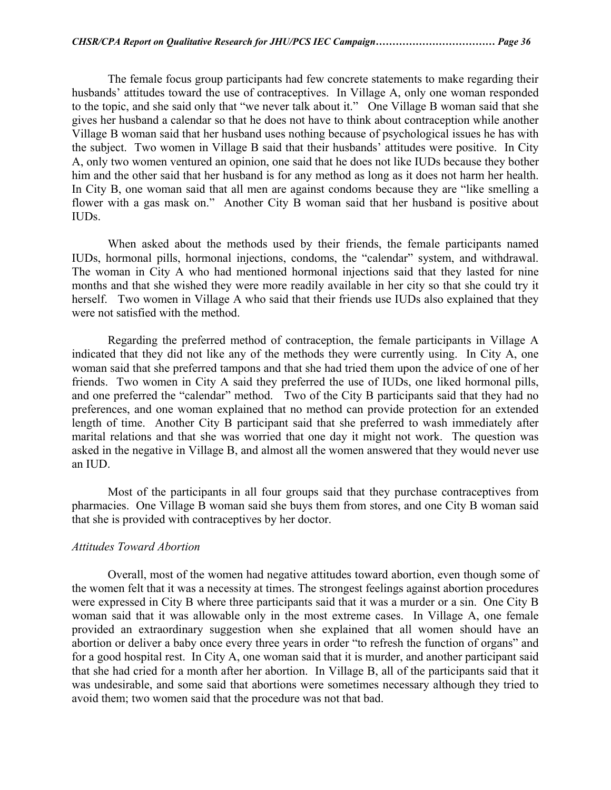The female focus group participants had few concrete statements to make regarding their husbands' attitudes toward the use of contraceptives. In Village A, only one woman responded to the topic, and she said only that "we never talk about it." One Village B woman said that she gives her husband a calendar so that he does not have to think about contraception while another Village B woman said that her husband uses nothing because of psychological issues he has with the subject. Two women in Village B said that their husbands' attitudes were positive. In City A, only two women ventured an opinion, one said that he does not like IUDs because they bother him and the other said that her husband is for any method as long as it does not harm her health. In City B, one woman said that all men are against condoms because they are "like smelling a flower with a gas mask on." Another City B woman said that her husband is positive about IUDs.

 When asked about the methods used by their friends, the female participants named IUDs, hormonal pills, hormonal injections, condoms, the "calendar" system, and withdrawal. The woman in City A who had mentioned hormonal injections said that they lasted for nine months and that she wished they were more readily available in her city so that she could try it herself. Two women in Village A who said that their friends use IUDs also explained that they were not satisfied with the method.

 Regarding the preferred method of contraception, the female participants in Village A indicated that they did not like any of the methods they were currently using. In City A, one woman said that she preferred tampons and that she had tried them upon the advice of one of her friends. Two women in City A said they preferred the use of IUDs, one liked hormonal pills, and one preferred the "calendar" method. Two of the City B participants said that they had no preferences, and one woman explained that no method can provide protection for an extended length of time. Another City B participant said that she preferred to wash immediately after marital relations and that she was worried that one day it might not work. The question was asked in the negative in Village B, and almost all the women answered that they would never use an IUD.

 Most of the participants in all four groups said that they purchase contraceptives from pharmacies. One Village B woman said she buys them from stores, and one City B woman said that she is provided with contraceptives by her doctor.

#### *Attitudes Toward Abortion*

 Overall, most of the women had negative attitudes toward abortion, even though some of the women felt that it was a necessity at times. The strongest feelings against abortion procedures were expressed in City B where three participants said that it was a murder or a sin. One City B woman said that it was allowable only in the most extreme cases. In Village A, one female provided an extraordinary suggestion when she explained that all women should have an abortion or deliver a baby once every three years in order "to refresh the function of organs" and for a good hospital rest. In City A, one woman said that it is murder, and another participant said that she had cried for a month after her abortion. In Village B, all of the participants said that it was undesirable, and some said that abortions were sometimes necessary although they tried to avoid them; two women said that the procedure was not that bad.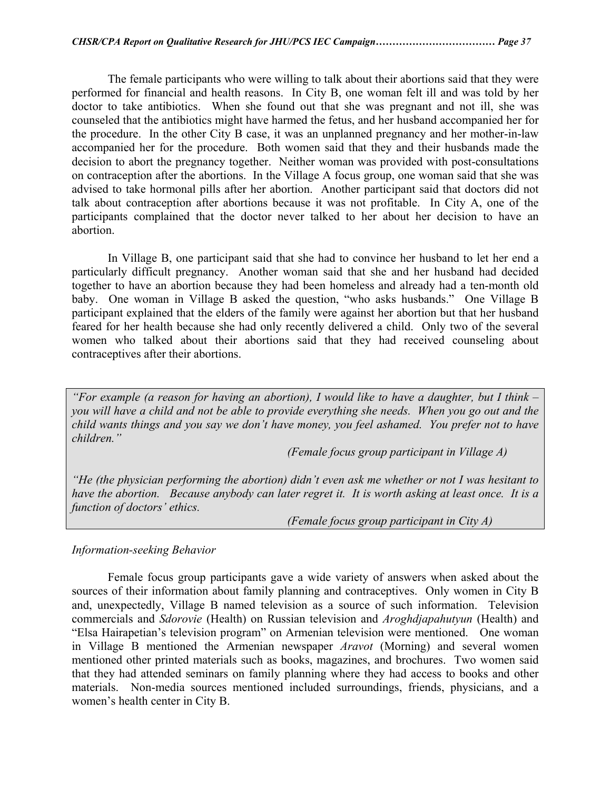The female participants who were willing to talk about their abortions said that they were performed for financial and health reasons. In City B, one woman felt ill and was told by her doctor to take antibiotics. When she found out that she was pregnant and not ill, she was counseled that the antibiotics might have harmed the fetus, and her husband accompanied her for the procedure. In the other City B case, it was an unplanned pregnancy and her mother-in-law accompanied her for the procedure. Both women said that they and their husbands made the decision to abort the pregnancy together. Neither woman was provided with post-consultations on contraception after the abortions. In the Village A focus group, one woman said that she was advised to take hormonal pills after her abortion. Another participant said that doctors did not talk about contraception after abortions because it was not profitable. In City A, one of the participants complained that the doctor never talked to her about her decision to have an abortion.

 In Village B, one participant said that she had to convince her husband to let her end a particularly difficult pregnancy. Another woman said that she and her husband had decided together to have an abortion because they had been homeless and already had a ten-month old baby. One woman in Village B asked the question, "who asks husbands." One Village B participant explained that the elders of the family were against her abortion but that her husband feared for her health because she had only recently delivered a child. Only two of the several women who talked about their abortions said that they had received counseling about contraceptives after their abortions.

*"For example (a reason for having an abortion), I would like to have a daughter, but I think – you will have a child and not be able to provide everything she needs. When you go out and the child wants things and you say we don't have money, you feel ashamed. You prefer not to have children."* 

 *(Female focus group participant in Village A)* 

*"He (the physician performing the abortion) didn't even ask me whether or not I was hesitant to have the abortion. Because anybody can later regret it. It is worth asking at least once. It is a function of doctors' ethics.* 

 *(Female focus group participant in City A)* 

#### *Information-seeking Behavior*

 Female focus group participants gave a wide variety of answers when asked about the sources of their information about family planning and contraceptives. Only women in City B and, unexpectedly, Village B named television as a source of such information. Television commercials and *Sdorovie* (Health) on Russian television and *Aroghdjapahutyun* (Health) and "Elsa Hairapetian's television program" on Armenian television were mentioned. One woman in Village B mentioned the Armenian newspaper *Aravot* (Morning) and several women mentioned other printed materials such as books, magazines, and brochures. Two women said that they had attended seminars on family planning where they had access to books and other materials. Non-media sources mentioned included surroundings, friends, physicians, and a women's health center in City B.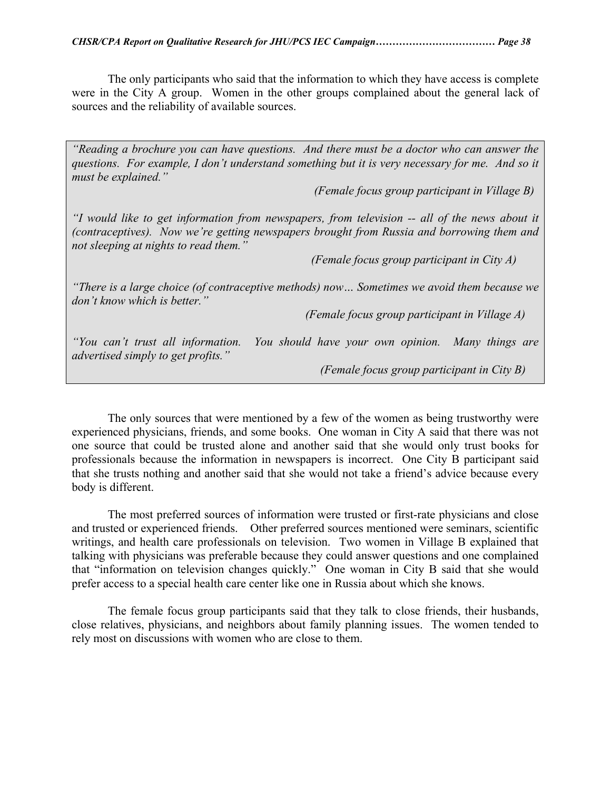The only participants who said that the information to which they have access is complete were in the City A group. Women in the other groups complained about the general lack of sources and the reliability of available sources.

*"Reading a brochure you can have questions. And there must be a doctor who can answer the questions. For example, I don't understand something but it is very necessary for me. And so it must be explained."* 

 *(Female focus group participant in Village B)* 

*"I would like to get information from newspapers, from television -- all of the news about it (contraceptives). Now we're getting newspapers brought from Russia and borrowing them and not sleeping at nights to read them."* 

 *(Female focus group participant in City A)* 

*"There is a large choice (of contraceptive methods) now… Sometimes we avoid them because we don't know which is better."* 

 *(Female focus group participant in Village A)* 

*"You can't trust all information. You should have your own opinion. Many things are advertised simply to get profits."* 

 *(Female focus group participant in City B)*

The only sources that were mentioned by a few of the women as being trustworthy were experienced physicians, friends, and some books. One woman in City A said that there was not one source that could be trusted alone and another said that she would only trust books for professionals because the information in newspapers is incorrect. One City B participant said that she trusts nothing and another said that she would not take a friend's advice because every body is different.

The most preferred sources of information were trusted or first-rate physicians and close and trusted or experienced friends. Other preferred sources mentioned were seminars, scientific writings, and health care professionals on television. Two women in Village B explained that talking with physicians was preferable because they could answer questions and one complained that "information on television changes quickly." One woman in City B said that she would prefer access to a special health care center like one in Russia about which she knows.

The female focus group participants said that they talk to close friends, their husbands, close relatives, physicians, and neighbors about family planning issues. The women tended to rely most on discussions with women who are close to them.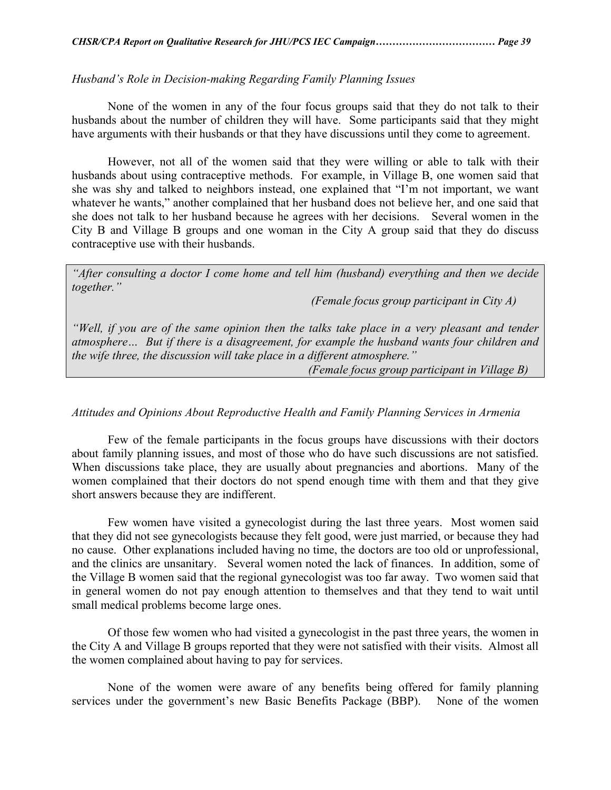#### *Husband's Role in Decision-making Regarding Family Planning Issues*

 None of the women in any of the four focus groups said that they do not talk to their husbands about the number of children they will have. Some participants said that they might have arguments with their husbands or that they have discussions until they come to agreement.

 However, not all of the women said that they were willing or able to talk with their husbands about using contraceptive methods. For example, in Village B, one women said that she was shy and talked to neighbors instead, one explained that "I'm not important, we want whatever he wants," another complained that her husband does not believe her, and one said that she does not talk to her husband because he agrees with her decisions. Several women in the City B and Village B groups and one woman in the City A group said that they do discuss contraceptive use with their husbands.

*"After consulting a doctor I come home and tell him (husband) everything and then we decide together."* 

 *(Female focus group participant in City A)* 

*"Well, if you are of the same opinion then the talks take place in a very pleasant and tender atmosphere… But if there is a disagreement, for example the husband wants four children and the wife three, the discussion will take place in a different atmosphere."* 

 *(Female focus group participant in Village B)* 

#### *Attitudes and Opinions About Reproductive Health and Family Planning Services in Armenia*

 Few of the female participants in the focus groups have discussions with their doctors about family planning issues, and most of those who do have such discussions are not satisfied. When discussions take place, they are usually about pregnancies and abortions. Many of the women complained that their doctors do not spend enough time with them and that they give short answers because they are indifferent.

 Few women have visited a gynecologist during the last three years. Most women said that they did not see gynecologists because they felt good, were just married, or because they had no cause. Other explanations included having no time, the doctors are too old or unprofessional, and the clinics are unsanitary. Several women noted the lack of finances. In addition, some of the Village B women said that the regional gynecologist was too far away. Two women said that in general women do not pay enough attention to themselves and that they tend to wait until small medical problems become large ones.

 Of those few women who had visited a gynecologist in the past three years, the women in the City A and Village B groups reported that they were not satisfied with their visits. Almost all the women complained about having to pay for services.

None of the women were aware of any benefits being offered for family planning services under the government's new Basic Benefits Package (BBP). None of the women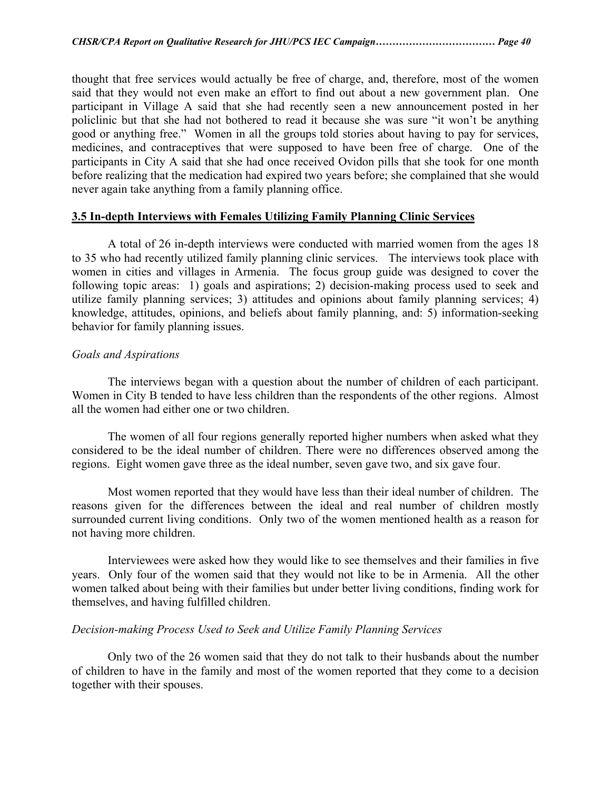thought that free services would actually be free of charge, and, therefore, most of the women said that they would not even make an effort to find out about a new government plan. One participant in Village A said that she had recently seen a new announcement posted in her policlinic but that she had not bothered to read it because she was sure "it won't be anything good or anything free." Women in all the groups told stories about having to pay for services, medicines, and contraceptives that were supposed to have been free of charge. One of the participants in City A said that she had once received Ovidon pills that she took for one month before realizing that the medication had expired two years before; she complained that she would never again take anything from a family planning office.

#### **3.5 In-depth Interviews with Females Utilizing Family Planning Clinic Services**

 A total of 26 in-depth interviews were conducted with married women from the ages 18 to 35 who had recently utilized family planning clinic services. The interviews took place with women in cities and villages in Armenia. The focus group guide was designed to cover the following topic areas: 1) goals and aspirations; 2) decision-making process used to seek and utilize family planning services; 3) attitudes and opinions about family planning services; 4) knowledge, attitudes, opinions, and beliefs about family planning, and: 5) information-seeking behavior for family planning issues.

#### *Goals and Aspirations*

 The interviews began with a question about the number of children of each participant. Women in City B tended to have less children than the respondents of the other regions. Almost all the women had either one or two children.

 The women of all four regions generally reported higher numbers when asked what they considered to be the ideal number of children. There were no differences observed among the regions. Eight women gave three as the ideal number, seven gave two, and six gave four.

 Most women reported that they would have less than their ideal number of children. The reasons given for the differences between the ideal and real number of children mostly surrounded current living conditions. Only two of the women mentioned health as a reason for not having more children.

 Interviewees were asked how they would like to see themselves and their families in five years. Only four of the women said that they would not like to be in Armenia. All the other women talked about being with their families but under better living conditions, finding work for themselves, and having fulfilled children.

#### *Decision-making Process Used to Seek and Utilize Family Planning Services*

 Only two of the 26 women said that they do not talk to their husbands about the number of children to have in the family and most of the women reported that they come to a decision together with their spouses.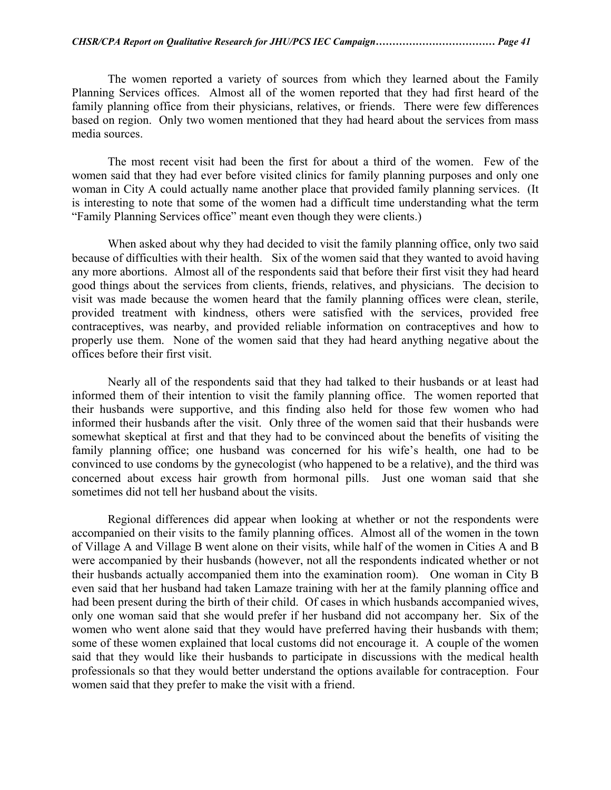The women reported a variety of sources from which they learned about the Family Planning Services offices. Almost all of the women reported that they had first heard of the family planning office from their physicians, relatives, or friends. There were few differences based on region. Only two women mentioned that they had heard about the services from mass media sources.

The most recent visit had been the first for about a third of the women. Few of the women said that they had ever before visited clinics for family planning purposes and only one woman in City A could actually name another place that provided family planning services. (It is interesting to note that some of the women had a difficult time understanding what the term "Family Planning Services office" meant even though they were clients.)

 When asked about why they had decided to visit the family planning office, only two said because of difficulties with their health. Six of the women said that they wanted to avoid having any more abortions. Almost all of the respondents said that before their first visit they had heard good things about the services from clients, friends, relatives, and physicians. The decision to visit was made because the women heard that the family planning offices were clean, sterile, provided treatment with kindness, others were satisfied with the services, provided free contraceptives, was nearby, and provided reliable information on contraceptives and how to properly use them. None of the women said that they had heard anything negative about the offices before their first visit.

 Nearly all of the respondents said that they had talked to their husbands or at least had informed them of their intention to visit the family planning office. The women reported that their husbands were supportive, and this finding also held for those few women who had informed their husbands after the visit. Only three of the women said that their husbands were somewhat skeptical at first and that they had to be convinced about the benefits of visiting the family planning office; one husband was concerned for his wife's health, one had to be convinced to use condoms by the gynecologist (who happened to be a relative), and the third was concerned about excess hair growth from hormonal pills. Just one woman said that she sometimes did not tell her husband about the visits.

 Regional differences did appear when looking at whether or not the respondents were accompanied on their visits to the family planning offices. Almost all of the women in the town of Village A and Village B went alone on their visits, while half of the women in Cities A and B were accompanied by their husbands (however, not all the respondents indicated whether or not their husbands actually accompanied them into the examination room). One woman in City B even said that her husband had taken Lamaze training with her at the family planning office and had been present during the birth of their child. Of cases in which husbands accompanied wives, only one woman said that she would prefer if her husband did not accompany her. Six of the women who went alone said that they would have preferred having their husbands with them; some of these women explained that local customs did not encourage it. A couple of the women said that they would like their husbands to participate in discussions with the medical health professionals so that they would better understand the options available for contraception. Four women said that they prefer to make the visit with a friend.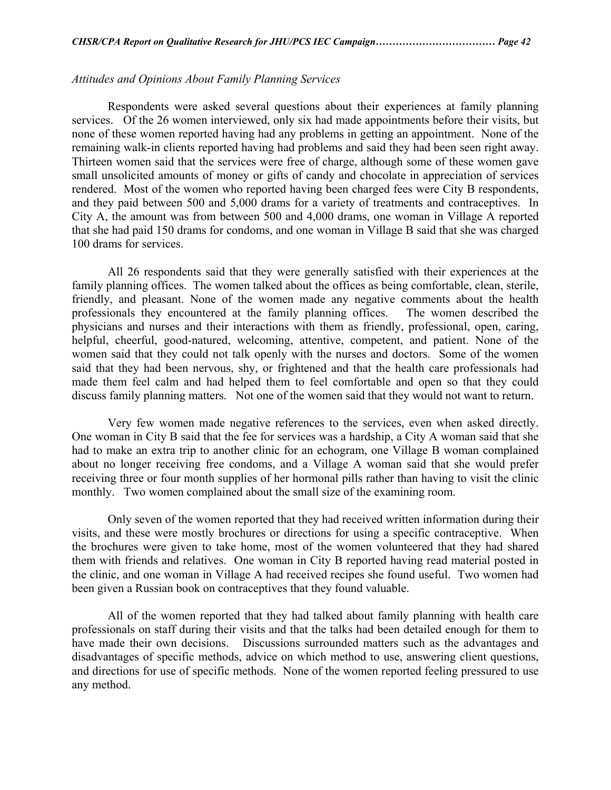#### *Attitudes and Opinions About Family Planning Services*

 Respondents were asked several questions about their experiences at family planning services. Of the 26 women interviewed, only six had made appointments before their visits, but none of these women reported having had any problems in getting an appointment. None of the remaining walk-in clients reported having had problems and said they had been seen right away. Thirteen women said that the services were free of charge, although some of these women gave small unsolicited amounts of money or gifts of candy and chocolate in appreciation of services rendered. Most of the women who reported having been charged fees were City B respondents, and they paid between 500 and 5,000 drams for a variety of treatments and contraceptives. In City A, the amount was from between 500 and 4,000 drams, one woman in Village A reported that she had paid 150 drams for condoms, and one woman in Village B said that she was charged 100 drams for services.

 All 26 respondents said that they were generally satisfied with their experiences at the family planning offices. The women talked about the offices as being comfortable, clean, sterile, friendly, and pleasant. None of the women made any negative comments about the health professionals they encountered at the family planning offices. The women described the physicians and nurses and their interactions with them as friendly, professional, open, caring, helpful, cheerful, good-natured, welcoming, attentive, competent, and patient. None of the women said that they could not talk openly with the nurses and doctors. Some of the women said that they had been nervous, shy, or frightened and that the health care professionals had made them feel calm and had helped them to feel comfortable and open so that they could discuss family planning matters. Not one of the women said that they would not want to return.

Very few women made negative references to the services, even when asked directly. One woman in City B said that the fee for services was a hardship, a City A woman said that she had to make an extra trip to another clinic for an echogram, one Village B woman complained about no longer receiving free condoms, and a Village A woman said that she would prefer receiving three or four month supplies of her hormonal pills rather than having to visit the clinic monthly. Two women complained about the small size of the examining room.

Only seven of the women reported that they had received written information during their visits, and these were mostly brochures or directions for using a specific contraceptive. When the brochures were given to take home, most of the women volunteered that they had shared them with friends and relatives. One woman in City B reported having read material posted in the clinic, and one woman in Village A had received recipes she found useful. Two women had been given a Russian book on contraceptives that they found valuable.

All of the women reported that they had talked about family planning with health care professionals on staff during their visits and that the talks had been detailed enough for them to have made their own decisions. Discussions surrounded matters such as the advantages and disadvantages of specific methods, advice on which method to use, answering client questions, and directions for use of specific methods. None of the women reported feeling pressured to use any method.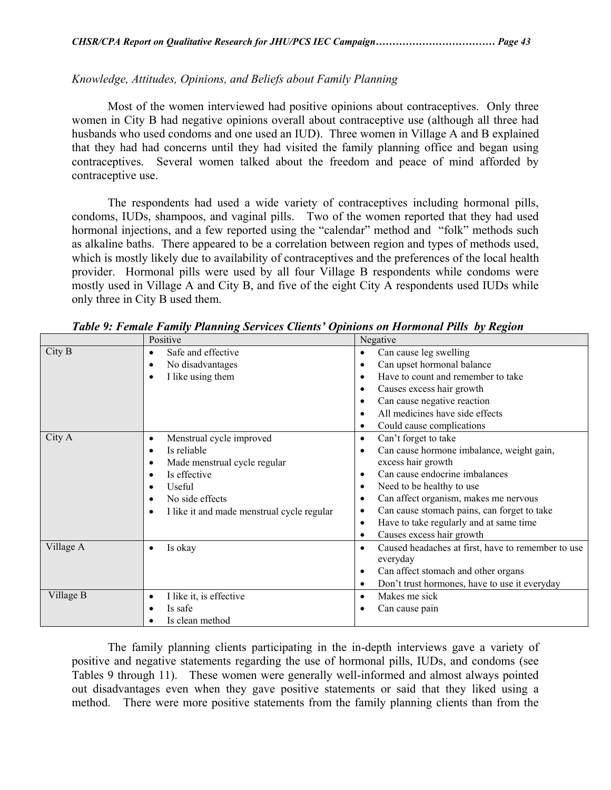### *Knowledge, Attitudes, Opinions, and Beliefs about Family Planning*

Most of the women interviewed had positive opinions about contraceptives. Only three women in City B had negative opinions overall about contraceptive use (although all three had husbands who used condoms and one used an IUD). Three women in Village A and B explained that they had had concerns until they had visited the family planning office and began using contraceptives. Several women talked about the freedom and peace of mind afforded by contraceptive use.

The respondents had used a wide variety of contraceptives including hormonal pills, condoms, IUDs, shampoos, and vaginal pills. Two of the women reported that they had used hormonal injections, and a few reported using the "calendar" method and "folk" methods such as alkaline baths. There appeared to be a correlation between region and types of methods used, which is mostly likely due to availability of contraceptives and the preferences of the local health provider. Hormonal pills were used by all four Village B respondents while condoms were mostly used in Village A and City B, and five of the eight City A respondents used IUDs while only three in City B used them.

|           | Positive                                                                                                                                                                                                                                              | Negative                                                                                                                                                                                                                                                                                                                                                                                  |
|-----------|-------------------------------------------------------------------------------------------------------------------------------------------------------------------------------------------------------------------------------------------------------|-------------------------------------------------------------------------------------------------------------------------------------------------------------------------------------------------------------------------------------------------------------------------------------------------------------------------------------------------------------------------------------------|
| City B    | Safe and effective<br>$\bullet$<br>No disadvantages<br>$\bullet$<br>I like using them<br>$\bullet$                                                                                                                                                    | Can cause leg swelling<br>$\bullet$<br>Can upset hormonal balance<br>$\bullet$<br>Have to count and remember to take<br>$\bullet$<br>Causes excess hair growth<br>٠<br>Can cause negative reaction<br>$\bullet$<br>All medicines have side effects<br>$\bullet$<br>Could cause complications<br>٠                                                                                         |
| City A    | Menstrual cycle improved<br>$\bullet$<br>Is reliable<br>$\bullet$<br>Made menstrual cycle regular<br>٠<br>Is effective<br>$\bullet$<br>Useful<br>$\bullet$<br>No side effects<br>$\bullet$<br>I like it and made menstrual cycle regular<br>$\bullet$ | Can't forget to take<br>$\bullet$<br>Can cause hormone imbalance, weight gain,<br>excess hair growth<br>Can cause endocrine imbalances<br>$\bullet$<br>Need to be healthy to use<br>$\bullet$<br>Can affect organism, makes me nervous<br>٠<br>Can cause stomach pains, can forget to take<br>٠<br>Have to take regularly and at same time<br>$\bullet$<br>Causes excess hair growth<br>٠ |
| Village A | Is okay<br>$\bullet$                                                                                                                                                                                                                                  | Caused headaches at first, have to remember to use<br>$\bullet$<br>everyday<br>Can affect stomach and other organs<br>$\bullet$<br>Don't trust hormones, have to use it everyday<br>$\bullet$                                                                                                                                                                                             |
| Village B | I like it, is effective<br>$\bullet$<br>Is safe<br>٠<br>Is clean method                                                                                                                                                                               | Makes me sick<br>$\bullet$<br>Can cause pain                                                                                                                                                                                                                                                                                                                                              |

*Table 9: Female Family Planning Services Clients' Opinions on Hormonal Pills by Region* 

The family planning clients participating in the in-depth interviews gave a variety of positive and negative statements regarding the use of hormonal pills, IUDs, and condoms (see Tables 9 through 11). These women were generally well-informed and almost always pointed out disadvantages even when they gave positive statements or said that they liked using a method. There were more positive statements from the family planning clients than from the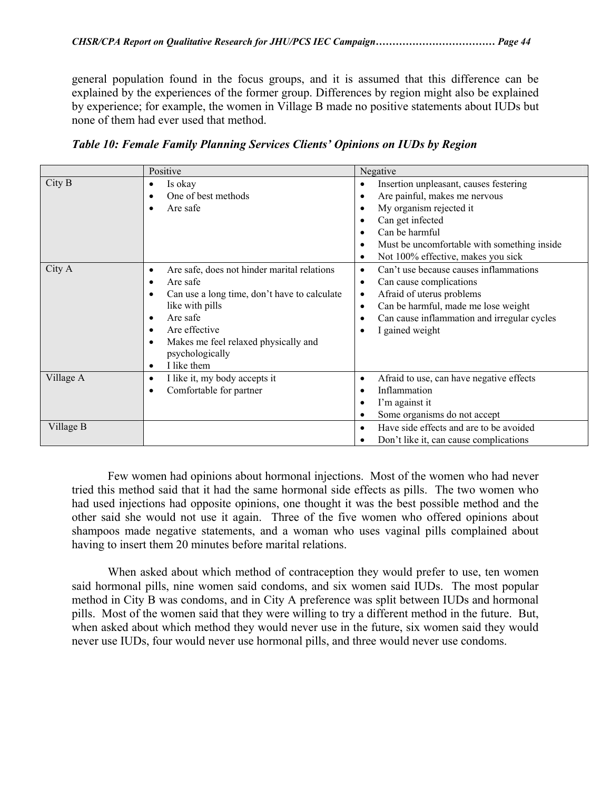general population found in the focus groups, and it is assumed that this difference can be explained by the experiences of the former group. Differences by region might also be explained by experience; for example, the women in Village B made no positive statements about IUDs but none of them had ever used that method.

|                        | Positive                                                                                                                                                                                                                                                                                     | Negative                                                                                                                                                                                                                                                                                                 |
|------------------------|----------------------------------------------------------------------------------------------------------------------------------------------------------------------------------------------------------------------------------------------------------------------------------------------|----------------------------------------------------------------------------------------------------------------------------------------------------------------------------------------------------------------------------------------------------------------------------------------------------------|
| City B                 | Is okay<br>٠<br>One of best methods<br>٠<br>Are safe                                                                                                                                                                                                                                         | Insertion unpleasant, causes festering<br>$\bullet$<br>Are painful, makes me nervous<br>$\bullet$<br>My organism rejected it<br>٠<br>Can get infected<br>٠<br>Can be harmful<br>$\bullet$<br>Must be uncomfortable with something inside<br>$\bullet$<br>Not 100% effective, makes you sick<br>$\bullet$ |
| City A                 | Are safe, does not hinder marital relations<br>٠<br>Are safe<br>$\bullet$<br>Can use a long time, don't have to calculate<br>٠<br>like with pills<br>Are safe<br>٠<br>Are effective<br>٠<br>Makes me feel relaxed physically and<br>$\bullet$<br>psychologically<br>I like them<br>$\bullet$ | Can't use because causes inflammations<br>$\bullet$<br>Can cause complications<br>$\bullet$<br>Afraid of uterus problems<br>$\bullet$<br>Can be harmful, made me lose weight<br>$\bullet$<br>Can cause inflammation and irregular cycles<br>٠<br>I gained weight<br>٠                                    |
| Village A<br>Village B | I like it, my body accepts it<br>٠<br>Comfortable for partner<br>٠                                                                                                                                                                                                                           | Afraid to use, can have negative effects<br>$\bullet$<br>Inflammation<br>$\bullet$<br>I'm against it<br>$\bullet$<br>Some organisms do not accept<br>٠<br>Have side effects and are to be avoided<br>$\bullet$<br>Don't like it, can cause complications                                                 |

*Table 10: Female Family Planning Services Clients' Opinions on IUDs by Region* 

 Few women had opinions about hormonal injections. Most of the women who had never tried this method said that it had the same hormonal side effects as pills. The two women who had used injections had opposite opinions, one thought it was the best possible method and the other said she would not use it again. Three of the five women who offered opinions about shampoos made negative statements, and a woman who uses vaginal pills complained about having to insert them 20 minutes before marital relations.

 When asked about which method of contraception they would prefer to use, ten women said hormonal pills, nine women said condoms, and six women said IUDs. The most popular method in City B was condoms, and in City A preference was split between IUDs and hormonal pills. Most of the women said that they were willing to try a different method in the future. But, when asked about which method they would never use in the future, six women said they would never use IUDs, four would never use hormonal pills, and three would never use condoms.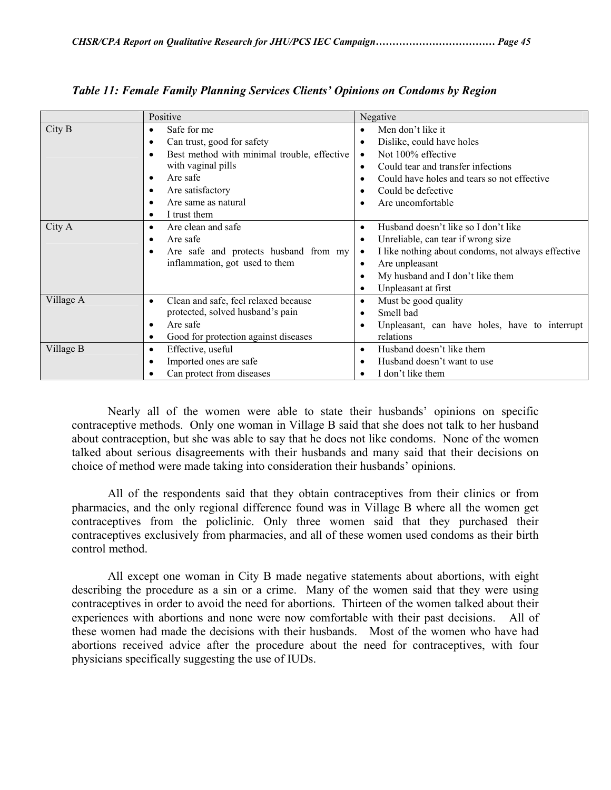|           | Positive                                                                                                                                                                                                                       | Negative                                                                                                                                                                                                                                                                       |
|-----------|--------------------------------------------------------------------------------------------------------------------------------------------------------------------------------------------------------------------------------|--------------------------------------------------------------------------------------------------------------------------------------------------------------------------------------------------------------------------------------------------------------------------------|
| City B    | Safe for me<br>$\bullet$<br>Can trust, good for safety<br>$\bullet$<br>Best method with minimal trouble, effective<br>٠<br>with vaginal pills<br>Are safe<br>٠<br>Are satisfactory<br>Are same as natural<br>I trust them<br>٠ | Men don't like it<br>Dislike, could have holes<br>$\bullet$<br>Not 100% effective<br>$\bullet$<br>Could tear and transfer infections<br>$\bullet$<br>Could have holes and tears so not effective<br>Could be defective<br>Are uncomfortable                                    |
| City A    | Are clean and safe<br>٠<br>Are safe<br>٠<br>Are safe and protects husband from my<br>$\bullet$<br>inflammation, got used to them                                                                                               | Husband doesn't like so I don't like<br>$\bullet$<br>Unreliable, can tear if wrong size<br>$\bullet$<br>I like nothing about condoms, not always effective<br>$\bullet$<br>Are unpleasant<br>$\bullet$<br>My husband and I don't like them<br>Unpleasant at first<br>$\bullet$ |
| Village A | Clean and safe, feel relaxed because<br>$\bullet$<br>protected, solved husband's pain<br>Are safe<br>$\bullet$<br>Good for protection against diseases<br>٠                                                                    | Must be good quality<br>$\bullet$<br>Smell bad<br>$\bullet$<br>Unpleasant, can have holes, have to interrupt<br>$\bullet$<br>relations                                                                                                                                         |
| Village B | Effective, useful<br>٠<br>Imported ones are safe<br>٠<br>Can protect from diseases                                                                                                                                             | Husband doesn't like them<br>$\bullet$<br>Husband doesn't want to use<br>I don't like them                                                                                                                                                                                     |

*Table 11: Female Family Planning Services Clients' Opinions on Condoms by Region* 

 Nearly all of the women were able to state their husbands' opinions on specific contraceptive methods. Only one woman in Village B said that she does not talk to her husband about contraception, but she was able to say that he does not like condoms. None of the women talked about serious disagreements with their husbands and many said that their decisions on choice of method were made taking into consideration their husbands' opinions.

 All of the respondents said that they obtain contraceptives from their clinics or from pharmacies, and the only regional difference found was in Village B where all the women get contraceptives from the policlinic. Only three women said that they purchased their contraceptives exclusively from pharmacies, and all of these women used condoms as their birth control method.

 All except one woman in City B made negative statements about abortions, with eight describing the procedure as a sin or a crime. Many of the women said that they were using contraceptives in order to avoid the need for abortions. Thirteen of the women talked about their experiences with abortions and none were now comfortable with their past decisions. All of these women had made the decisions with their husbands. Most of the women who have had abortions received advice after the procedure about the need for contraceptives, with four physicians specifically suggesting the use of IUDs.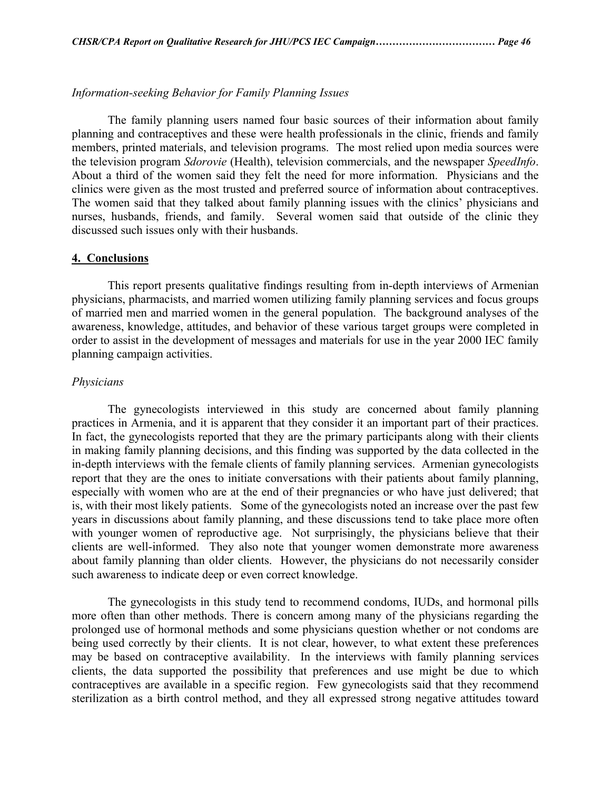#### *Information-seeking Behavior for Family Planning Issues*

 The family planning users named four basic sources of their information about family planning and contraceptives and these were health professionals in the clinic, friends and family members, printed materials, and television programs. The most relied upon media sources were the television program *Sdorovie* (Health), television commercials, and the newspaper *SpeedInfo*. About a third of the women said they felt the need for more information. Physicians and the clinics were given as the most trusted and preferred source of information about contraceptives. The women said that they talked about family planning issues with the clinics' physicians and nurses, husbands, friends, and family. Several women said that outside of the clinic they discussed such issues only with their husbands.

#### **4. Conclusions**

 This report presents qualitative findings resulting from in-depth interviews of Armenian physicians, pharmacists, and married women utilizing family planning services and focus groups of married men and married women in the general population. The background analyses of the awareness, knowledge, attitudes, and behavior of these various target groups were completed in order to assist in the development of messages and materials for use in the year 2000 IEC family planning campaign activities.

#### *Physicians*

 The gynecologists interviewed in this study are concerned about family planning practices in Armenia, and it is apparent that they consider it an important part of their practices. In fact, the gynecologists reported that they are the primary participants along with their clients in making family planning decisions, and this finding was supported by the data collected in the in-depth interviews with the female clients of family planning services. Armenian gynecologists report that they are the ones to initiate conversations with their patients about family planning, especially with women who are at the end of their pregnancies or who have just delivered; that is, with their most likely patients. Some of the gynecologists noted an increase over the past few years in discussions about family planning, and these discussions tend to take place more often with younger women of reproductive age. Not surprisingly, the physicians believe that their clients are well-informed. They also note that younger women demonstrate more awareness about family planning than older clients. However, the physicians do not necessarily consider such awareness to indicate deep or even correct knowledge.

 The gynecologists in this study tend to recommend condoms, IUDs, and hormonal pills more often than other methods. There is concern among many of the physicians regarding the prolonged use of hormonal methods and some physicians question whether or not condoms are being used correctly by their clients. It is not clear, however, to what extent these preferences may be based on contraceptive availability. In the interviews with family planning services clients, the data supported the possibility that preferences and use might be due to which contraceptives are available in a specific region. Few gynecologists said that they recommend sterilization as a birth control method, and they all expressed strong negative attitudes toward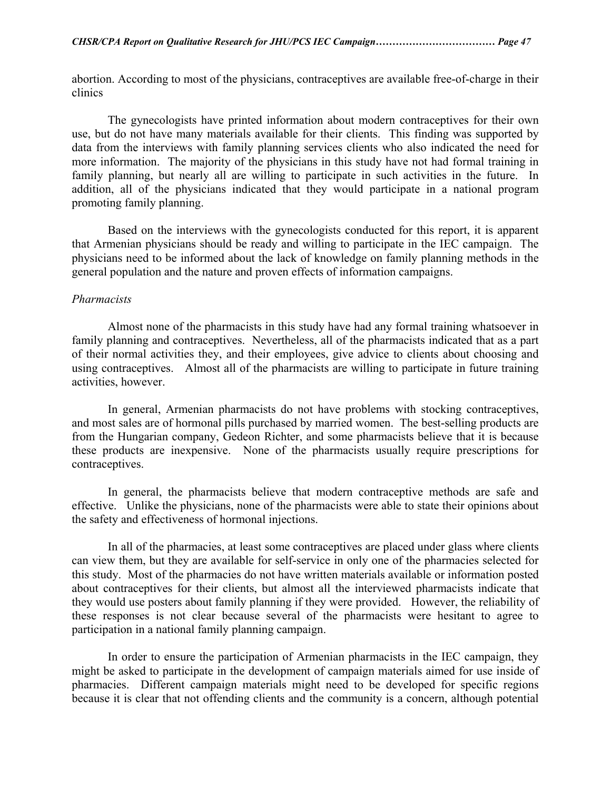abortion. According to most of the physicians, contraceptives are available free-of-charge in their clinics

 The gynecologists have printed information about modern contraceptives for their own use, but do not have many materials available for their clients. This finding was supported by data from the interviews with family planning services clients who also indicated the need for more information. The majority of the physicians in this study have not had formal training in family planning, but nearly all are willing to participate in such activities in the future. In addition, all of the physicians indicated that they would participate in a national program promoting family planning.

 Based on the interviews with the gynecologists conducted for this report, it is apparent that Armenian physicians should be ready and willing to participate in the IEC campaign. The physicians need to be informed about the lack of knowledge on family planning methods in the general population and the nature and proven effects of information campaigns.

#### *Pharmacists*

 Almost none of the pharmacists in this study have had any formal training whatsoever in family planning and contraceptives. Nevertheless, all of the pharmacists indicated that as a part of their normal activities they, and their employees, give advice to clients about choosing and using contraceptives. Almost all of the pharmacists are willing to participate in future training activities, however.

 In general, Armenian pharmacists do not have problems with stocking contraceptives, and most sales are of hormonal pills purchased by married women. The best-selling products are from the Hungarian company, Gedeon Richter, and some pharmacists believe that it is because these products are inexpensive. None of the pharmacists usually require prescriptions for contraceptives.

In general, the pharmacists believe that modern contraceptive methods are safe and effective. Unlike the physicians, none of the pharmacists were able to state their opinions about the safety and effectiveness of hormonal injections.

 In all of the pharmacies, at least some contraceptives are placed under glass where clients can view them, but they are available for self-service in only one of the pharmacies selected for this study. Most of the pharmacies do not have written materials available or information posted about contraceptives for their clients, but almost all the interviewed pharmacists indicate that they would use posters about family planning if they were provided. However, the reliability of these responses is not clear because several of the pharmacists were hesitant to agree to participation in a national family planning campaign.

 In order to ensure the participation of Armenian pharmacists in the IEC campaign, they might be asked to participate in the development of campaign materials aimed for use inside of pharmacies. Different campaign materials might need to be developed for specific regions because it is clear that not offending clients and the community is a concern, although potential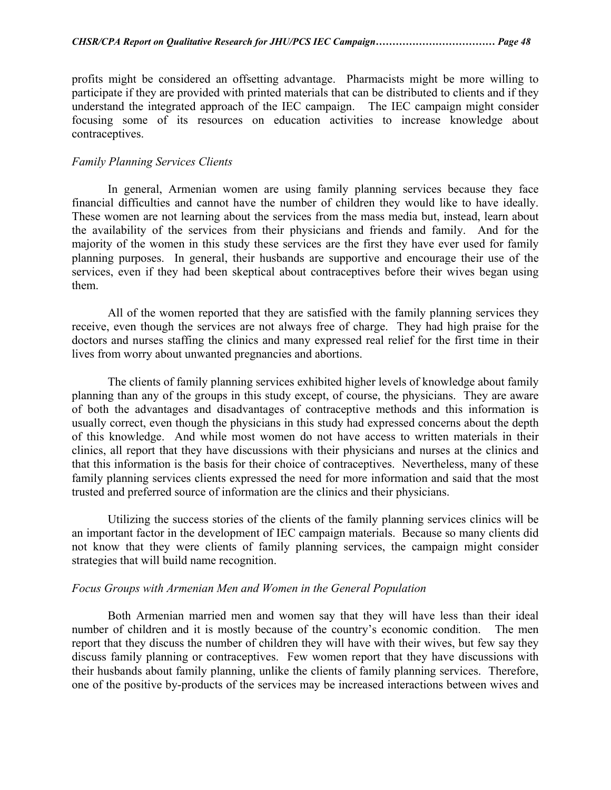profits might be considered an offsetting advantage. Pharmacists might be more willing to participate if they are provided with printed materials that can be distributed to clients and if they understand the integrated approach of the IEC campaign. The IEC campaign might consider focusing some of its resources on education activities to increase knowledge about contraceptives.

#### *Family Planning Services Clients*

 In general, Armenian women are using family planning services because they face financial difficulties and cannot have the number of children they would like to have ideally. These women are not learning about the services from the mass media but, instead, learn about the availability of the services from their physicians and friends and family. And for the majority of the women in this study these services are the first they have ever used for family planning purposes. In general, their husbands are supportive and encourage their use of the services, even if they had been skeptical about contraceptives before their wives began using them.

 All of the women reported that they are satisfied with the family planning services they receive, even though the services are not always free of charge. They had high praise for the doctors and nurses staffing the clinics and many expressed real relief for the first time in their lives from worry about unwanted pregnancies and abortions.

The clients of family planning services exhibited higher levels of knowledge about family planning than any of the groups in this study except, of course, the physicians. They are aware of both the advantages and disadvantages of contraceptive methods and this information is usually correct, even though the physicians in this study had expressed concerns about the depth of this knowledge. And while most women do not have access to written materials in their clinics, all report that they have discussions with their physicians and nurses at the clinics and that this information is the basis for their choice of contraceptives. Nevertheless, many of these family planning services clients expressed the need for more information and said that the most trusted and preferred source of information are the clinics and their physicians.

Utilizing the success stories of the clients of the family planning services clinics will be an important factor in the development of IEC campaign materials. Because so many clients did not know that they were clients of family planning services, the campaign might consider strategies that will build name recognition.

#### *Focus Groups with Armenian Men and Women in the General Population*

 Both Armenian married men and women say that they will have less than their ideal number of children and it is mostly because of the country's economic condition. The men report that they discuss the number of children they will have with their wives, but few say they discuss family planning or contraceptives. Few women report that they have discussions with their husbands about family planning, unlike the clients of family planning services. Therefore, one of the positive by-products of the services may be increased interactions between wives and